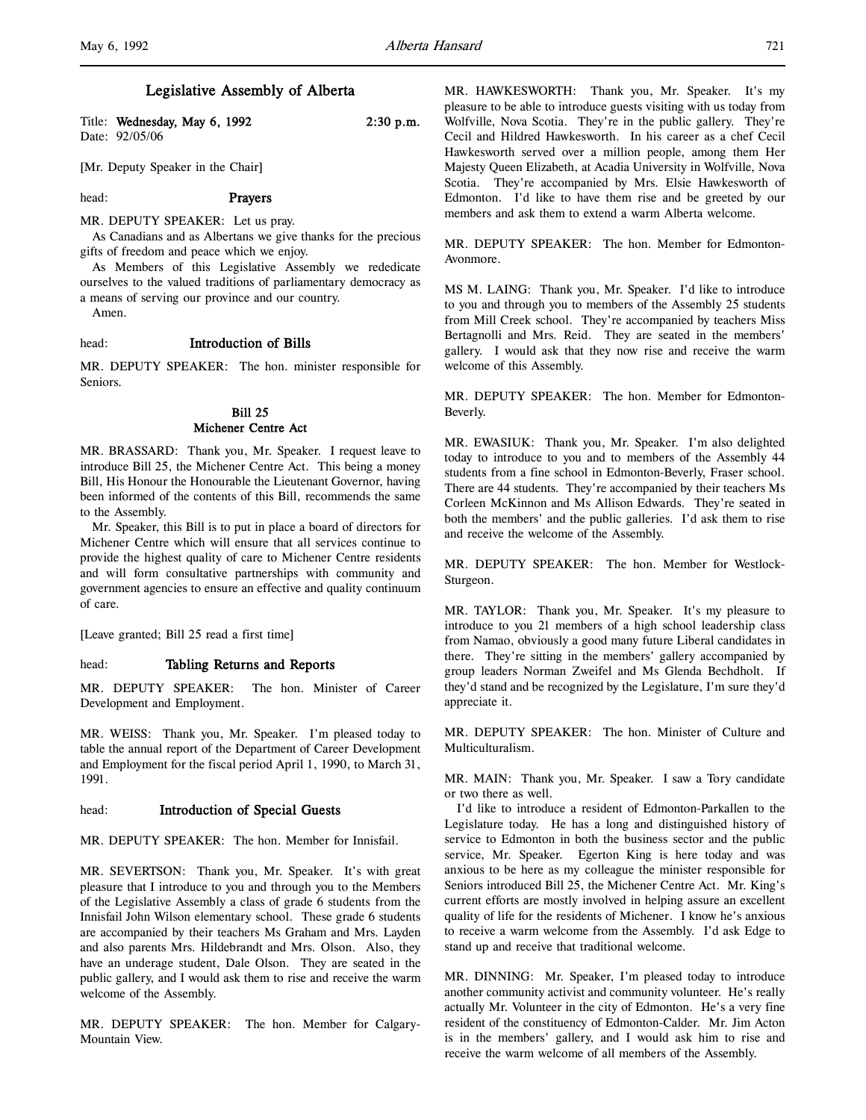| Title: Wednesday, May 6, 1992 | $2:30$ p.m. |
|-------------------------------|-------------|
| Date: 92/05/06                |             |

[Mr. Deputy Speaker in the Chair]

## head: Prayers

MR. DEPUTY SPEAKER: Let us pray.

As Canadians and as Albertans we give thanks for the precious gifts of freedom and peace which we enjoy.

As Members of this Legislative Assembly we rededicate ourselves to the valued traditions of parliamentary democracy as a means of serving our province and our country.

Amen.

# head: Introduction of Bills

MR. DEPUTY SPEAKER: The hon. minister responsible for Seniors.

# Bill 25 Michener Centre Act

MR. BRASSARD: Thank you, Mr. Speaker. I request leave to introduce Bill 25, the Michener Centre Act. This being a money Bill, His Honour the Honourable the Lieutenant Governor, having been informed of the contents of this Bill, recommends the same to the Assembly.

Mr. Speaker, this Bill is to put in place a board of directors for Michener Centre which will ensure that all services continue to provide the highest quality of care to Michener Centre residents and will form consultative partnerships with community and government agencies to ensure an effective and quality continuum of care.

[Leave granted; Bill 25 read a first time]

## head: Tabling Returns and Reports

MR. DEPUTY SPEAKER: The hon. Minister of Career Development and Employment.

MR. WEISS: Thank you, Mr. Speaker. I'm pleased today to table the annual report of the Department of Career Development and Employment for the fiscal period April 1, 1990, to March 31, 1991.

# head: **Introduction of Special Guests**

MR. DEPUTY SPEAKER: The hon. Member for Innisfail.

MR. SEVERTSON: Thank you, Mr. Speaker. It's with great pleasure that I introduce to you and through you to the Members of the Legislative Assembly a class of grade 6 students from the Innisfail John Wilson elementary school. These grade 6 students are accompanied by their teachers Ms Graham and Mrs. Layden and also parents Mrs. Hildebrandt and Mrs. Olson. Also, they have an underage student, Dale Olson. They are seated in the public gallery, and I would ask them to rise and receive the warm welcome of the Assembly.

MR. DEPUTY SPEAKER: The hon. Member for Calgary-Mountain View.

MR. HAWKESWORTH: Thank you, Mr. Speaker. It's my pleasure to be able to introduce guests visiting with us today from Wolfville, Nova Scotia. They're in the public gallery. They're Cecil and Hildred Hawkesworth. In his career as a chef Cecil Hawkesworth served over a million people, among them Her Majesty Queen Elizabeth, at Acadia University in Wolfville, Nova Scotia. They're accompanied by Mrs. Elsie Hawkesworth of Edmonton. I'd like to have them rise and be greeted by our members and ask them to extend a warm Alberta welcome.

MR. DEPUTY SPEAKER: The hon. Member for Edmonton-Avonmore.

MS M. LAING: Thank you, Mr. Speaker. I'd like to introduce to you and through you to members of the Assembly 25 students from Mill Creek school. They're accompanied by teachers Miss Bertagnolli and Mrs. Reid. They are seated in the members' gallery. I would ask that they now rise and receive the warm welcome of this Assembly.

MR. DEPUTY SPEAKER: The hon. Member for Edmonton-Beverly.

MR. EWASIUK: Thank you, Mr. Speaker. I'm also delighted today to introduce to you and to members of the Assembly 44 students from a fine school in Edmonton-Beverly, Fraser school. There are 44 students. They're accompanied by their teachers Ms Corleen McKinnon and Ms Allison Edwards. They're seated in both the members' and the public galleries. I'd ask them to rise and receive the welcome of the Assembly.

MR. DEPUTY SPEAKER: The hon. Member for Westlock-Sturgeon.

MR. TAYLOR: Thank you, Mr. Speaker. It's my pleasure to introduce to you 21 members of a high school leadership class from Namao, obviously a good many future Liberal candidates in there. They're sitting in the members' gallery accompanied by group leaders Norman Zweifel and Ms Glenda Bechdholt. If they'd stand and be recognized by the Legislature, I'm sure they'd appreciate it.

MR. DEPUTY SPEAKER: The hon. Minister of Culture and Multiculturalism.

MR. MAIN: Thank you, Mr. Speaker. I saw a Tory candidate or two there as well.

I'd like to introduce a resident of Edmonton-Parkallen to the Legislature today. He has a long and distinguished history of service to Edmonton in both the business sector and the public service, Mr. Speaker. Egerton King is here today and was anxious to be here as my colleague the minister responsible for Seniors introduced Bill 25, the Michener Centre Act. Mr. King's current efforts are mostly involved in helping assure an excellent quality of life for the residents of Michener. I know he's anxious to receive a warm welcome from the Assembly. I'd ask Edge to stand up and receive that traditional welcome.

MR. DINNING: Mr. Speaker, I'm pleased today to introduce another community activist and community volunteer. He's really actually Mr. Volunteer in the city of Edmonton. He's a very fine resident of the constituency of Edmonton-Calder. Mr. Jim Acton is in the members' gallery, and I would ask him to rise and receive the warm welcome of all members of the Assembly.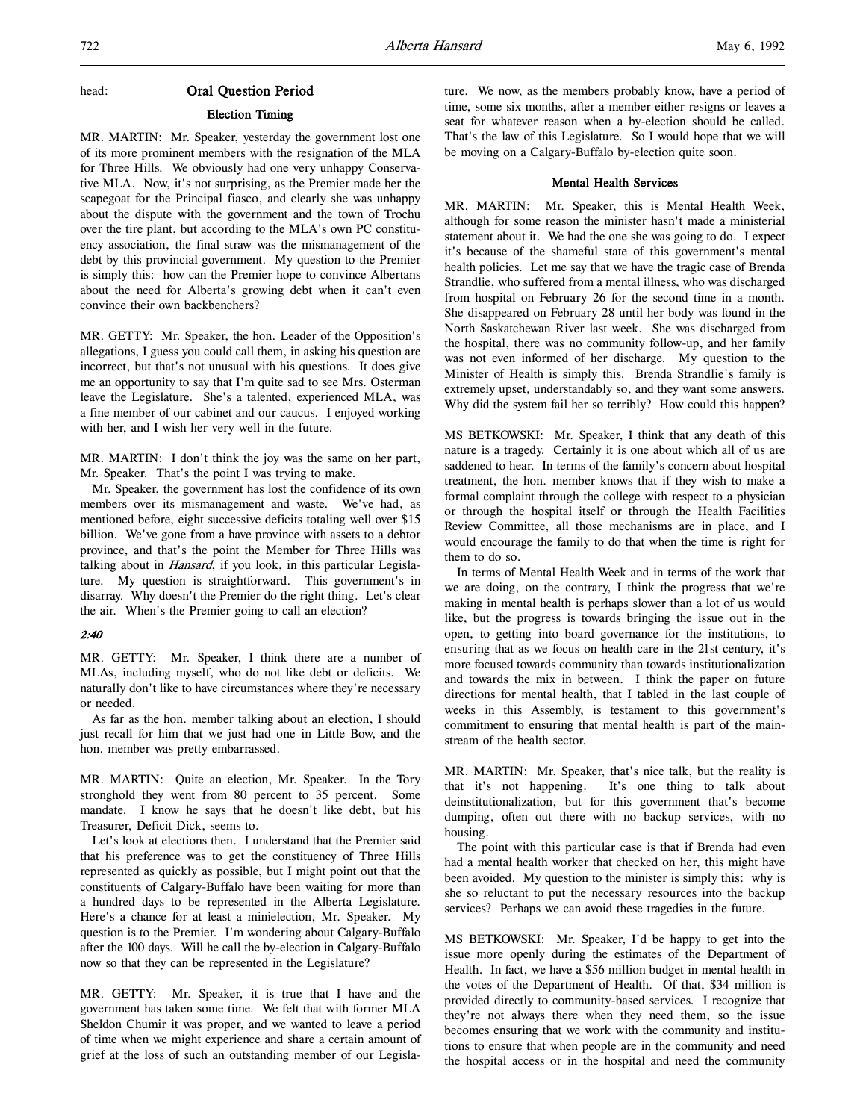# head: Oral Question Period

# Election Timing

MR. MARTIN: Mr. Speaker, yesterday the government lost one of its more prominent members with the resignation of the MLA for Three Hills. We obviously had one very unhappy Conservative MLA. Now, it's not surprising, as the Premier made her the scapegoat for the Principal fiasco, and clearly she was unhappy about the dispute with the government and the town of Trochu over the tire plant, but according to the MLA's own PC constituency association, the final straw was the mismanagement of the debt by this provincial government. My question to the Premier is simply this: how can the Premier hope to convince Albertans about the need for Alberta's growing debt when it can't even convince their own backbenchers?

MR. GETTY: Mr. Speaker, the hon. Leader of the Opposition's allegations, I guess you could call them, in asking his question are incorrect, but that's not unusual with his questions. It does give me an opportunity to say that I'm quite sad to see Mrs. Osterman leave the Legislature. She's a talented, experienced MLA, was a fine member of our cabinet and our caucus. I enjoyed working with her, and I wish her very well in the future.

MR. MARTIN: I don't think the joy was the same on her part, Mr. Speaker. That's the point I was trying to make.

Mr. Speaker, the government has lost the confidence of its own members over its mismanagement and waste. We've had, as mentioned before, eight successive deficits totaling well over \$15 billion. We've gone from a have province with assets to a debtor province, and that's the point the Member for Three Hills was talking about in Hansard, if you look, in this particular Legislature. My question is straightforward. This government's in disarray. Why doesn't the Premier do the right thing. Let's clear the air. When's the Premier going to call an election?

# 2:40

MR. GETTY: Mr. Speaker, I think there are a number of MLAs, including myself, who do not like debt or deficits. We naturally don't like to have circumstances where they're necessary or needed.

As far as the hon. member talking about an election, I should just recall for him that we just had one in Little Bow, and the hon. member was pretty embarrassed.

MR. MARTIN: Quite an election, Mr. Speaker. In the Tory stronghold they went from 80 percent to 35 percent. Some mandate. I know he says that he doesn't like debt, but his Treasurer, Deficit Dick, seems to.

Let's look at elections then. I understand that the Premier said that his preference was to get the constituency of Three Hills represented as quickly as possible, but I might point out that the constituents of Calgary-Buffalo have been waiting for more than a hundred days to be represented in the Alberta Legislature. Here's a chance for at least a minielection, Mr. Speaker. My question is to the Premier. I'm wondering about Calgary-Buffalo after the 100 days. Will he call the by-election in Calgary-Buffalo now so that they can be represented in the Legislature?

MR. GETTY: Mr. Speaker, it is true that I have and the government has taken some time. We felt that with former MLA Sheldon Chumir it was proper, and we wanted to leave a period of time when we might experience and share a certain amount of grief at the loss of such an outstanding member of our Legislature. We now, as the members probably know, have a period of time, some six months, after a member either resigns or leaves a seat for whatever reason when a by-election should be called. That's the law of this Legislature. So I would hope that we will be moving on a Calgary-Buffalo by-election quite soon.

# Mental Health Services

MR. MARTIN: Mr. Speaker, this is Mental Health Week, although for some reason the minister hasn't made a ministerial statement about it. We had the one she was going to do. I expect it's because of the shameful state of this government's mental health policies. Let me say that we have the tragic case of Brenda Strandlie, who suffered from a mental illness, who was discharged from hospital on February 26 for the second time in a month. She disappeared on February 28 until her body was found in the North Saskatchewan River last week. She was discharged from the hospital, there was no community follow-up, and her family was not even informed of her discharge. My question to the Minister of Health is simply this. Brenda Strandlie's family is extremely upset, understandably so, and they want some answers. Why did the system fail her so terribly? How could this happen?

MS BETKOWSKI: Mr. Speaker, I think that any death of this nature is a tragedy. Certainly it is one about which all of us are saddened to hear. In terms of the family's concern about hospital treatment, the hon. member knows that if they wish to make a formal complaint through the college with respect to a physician or through the hospital itself or through the Health Facilities Review Committee, all those mechanisms are in place, and I would encourage the family to do that when the time is right for them to do so.

In terms of Mental Health Week and in terms of the work that we are doing, on the contrary, I think the progress that we're making in mental health is perhaps slower than a lot of us would like, but the progress is towards bringing the issue out in the open, to getting into board governance for the institutions, to ensuring that as we focus on health care in the 21st century, it's more focused towards community than towards institutionalization and towards the mix in between. I think the paper on future directions for mental health, that I tabled in the last couple of weeks in this Assembly, is testament to this government's commitment to ensuring that mental health is part of the mainstream of the health sector.

MR. MARTIN: Mr. Speaker, that's nice talk, but the reality is that it's not happening. It's one thing to talk about deinstitutionalization, but for this government that's become dumping, often out there with no backup services, with no housing.

The point with this particular case is that if Brenda had even had a mental health worker that checked on her, this might have been avoided. My question to the minister is simply this: why is she so reluctant to put the necessary resources into the backup services? Perhaps we can avoid these tragedies in the future.

MS BETKOWSKI: Mr. Speaker, I'd be happy to get into the issue more openly during the estimates of the Department of Health. In fact, we have a \$56 million budget in mental health in the votes of the Department of Health. Of that, \$34 million is provided directly to community-based services. I recognize that they're not always there when they need them, so the issue becomes ensuring that we work with the community and institutions to ensure that when people are in the community and need the hospital access or in the hospital and need the community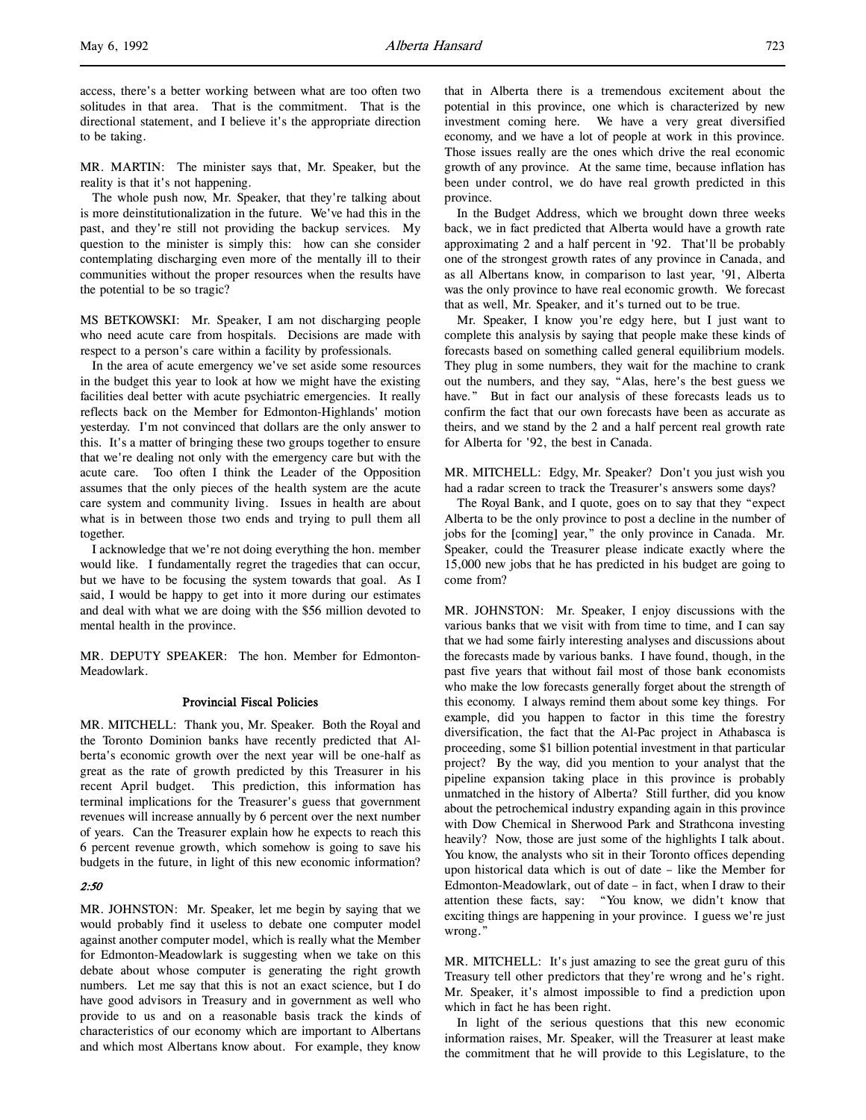access, there's a better working between what are too often two solitudes in that area. That is the commitment. That is the directional statement, and I believe it's the appropriate direction to be taking.

MR. MARTIN: The minister says that, Mr. Speaker, but the reality is that it's not happening.

The whole push now, Mr. Speaker, that they're talking about is more deinstitutionalization in the future. We've had this in the past, and they're still not providing the backup services. My question to the minister is simply this: how can she consider contemplating discharging even more of the mentally ill to their communities without the proper resources when the results have the potential to be so tragic?

MS BETKOWSKI: Mr. Speaker, I am not discharging people who need acute care from hospitals. Decisions are made with respect to a person's care within a facility by professionals.

In the area of acute emergency we've set aside some resources in the budget this year to look at how we might have the existing facilities deal better with acute psychiatric emergencies. It really reflects back on the Member for Edmonton-Highlands' motion yesterday. I'm not convinced that dollars are the only answer to this. It's a matter of bringing these two groups together to ensure that we're dealing not only with the emergency care but with the acute care. Too often I think the Leader of the Opposition assumes that the only pieces of the health system are the acute care system and community living. Issues in health are about what is in between those two ends and trying to pull them all together.

I acknowledge that we're not doing everything the hon. member would like. I fundamentally regret the tragedies that can occur, but we have to be focusing the system towards that goal. As I said, I would be happy to get into it more during our estimates and deal with what we are doing with the \$56 million devoted to mental health in the province.

MR. DEPUTY SPEAKER: The hon. Member for Edmonton-Meadowlark.

# Provincial Fiscal Policies

MR. MITCHELL: Thank you, Mr. Speaker. Both the Royal and the Toronto Dominion banks have recently predicted that Alberta's economic growth over the next year will be one-half as great as the rate of growth predicted by this Treasurer in his recent April budget. This prediction, this information has terminal implications for the Treasurer's guess that government revenues will increase annually by 6 percent over the next number of years. Can the Treasurer explain how he expects to reach this 6 percent revenue growth, which somehow is going to save his budgets in the future, in light of this new economic information?

# 2:50

MR. JOHNSTON: Mr. Speaker, let me begin by saying that we would probably find it useless to debate one computer model against another computer model, which is really what the Member for Edmonton-Meadowlark is suggesting when we take on this debate about whose computer is generating the right growth numbers. Let me say that this is not an exact science, but I do have good advisors in Treasury and in government as well who provide to us and on a reasonable basis track the kinds of characteristics of our economy which are important to Albertans and which most Albertans know about. For example, they know

that in Alberta there is a tremendous excitement about the potential in this province, one which is characterized by new investment coming here. We have a very great diversified economy, and we have a lot of people at work in this province. Those issues really are the ones which drive the real economic growth of any province. At the same time, because inflation has been under control, we do have real growth predicted in this province.

In the Budget Address, which we brought down three weeks back, we in fact predicted that Alberta would have a growth rate approximating 2 and a half percent in '92. That'll be probably one of the strongest growth rates of any province in Canada, and as all Albertans know, in comparison to last year, '91, Alberta was the only province to have real economic growth. We forecast that as well, Mr. Speaker, and it's turned out to be true.

Mr. Speaker, I know you're edgy here, but I just want to complete this analysis by saying that people make these kinds of forecasts based on something called general equilibrium models. They plug in some numbers, they wait for the machine to crank out the numbers, and they say, "Alas, here's the best guess we have." But in fact our analysis of these forecasts leads us to confirm the fact that our own forecasts have been as accurate as theirs, and we stand by the 2 and a half percent real growth rate for Alberta for '92, the best in Canada.

MR. MITCHELL: Edgy, Mr. Speaker? Don't you just wish you had a radar screen to track the Treasurer's answers some days?

The Royal Bank, and I quote, goes on to say that they "expect Alberta to be the only province to post a decline in the number of jobs for the [coming] year," the only province in Canada. Mr. Speaker, could the Treasurer please indicate exactly where the 15,000 new jobs that he has predicted in his budget are going to come from?

MR. JOHNSTON: Mr. Speaker, I enjoy discussions with the various banks that we visit with from time to time, and I can say that we had some fairly interesting analyses and discussions about the forecasts made by various banks. I have found, though, in the past five years that without fail most of those bank economists who make the low forecasts generally forget about the strength of this economy. I always remind them about some key things. For example, did you happen to factor in this time the forestry diversification, the fact that the Al-Pac project in Athabasca is proceeding, some \$1 billion potential investment in that particular project? By the way, did you mention to your analyst that the pipeline expansion taking place in this province is probably unmatched in the history of Alberta? Still further, did you know about the petrochemical industry expanding again in this province with Dow Chemical in Sherwood Park and Strathcona investing heavily? Now, those are just some of the highlights I talk about. You know, the analysts who sit in their Toronto offices depending upon historical data which is out of date – like the Member for Edmonton-Meadowlark, out of date – in fact, when I draw to their attention these facts, say: "You know, we didn't know that exciting things are happening in your province. I guess we're just wrong."

MR. MITCHELL: It's just amazing to see the great guru of this Treasury tell other predictors that they're wrong and he's right. Mr. Speaker, it's almost impossible to find a prediction upon which in fact he has been right.

In light of the serious questions that this new economic information raises, Mr. Speaker, will the Treasurer at least make the commitment that he will provide to this Legislature, to the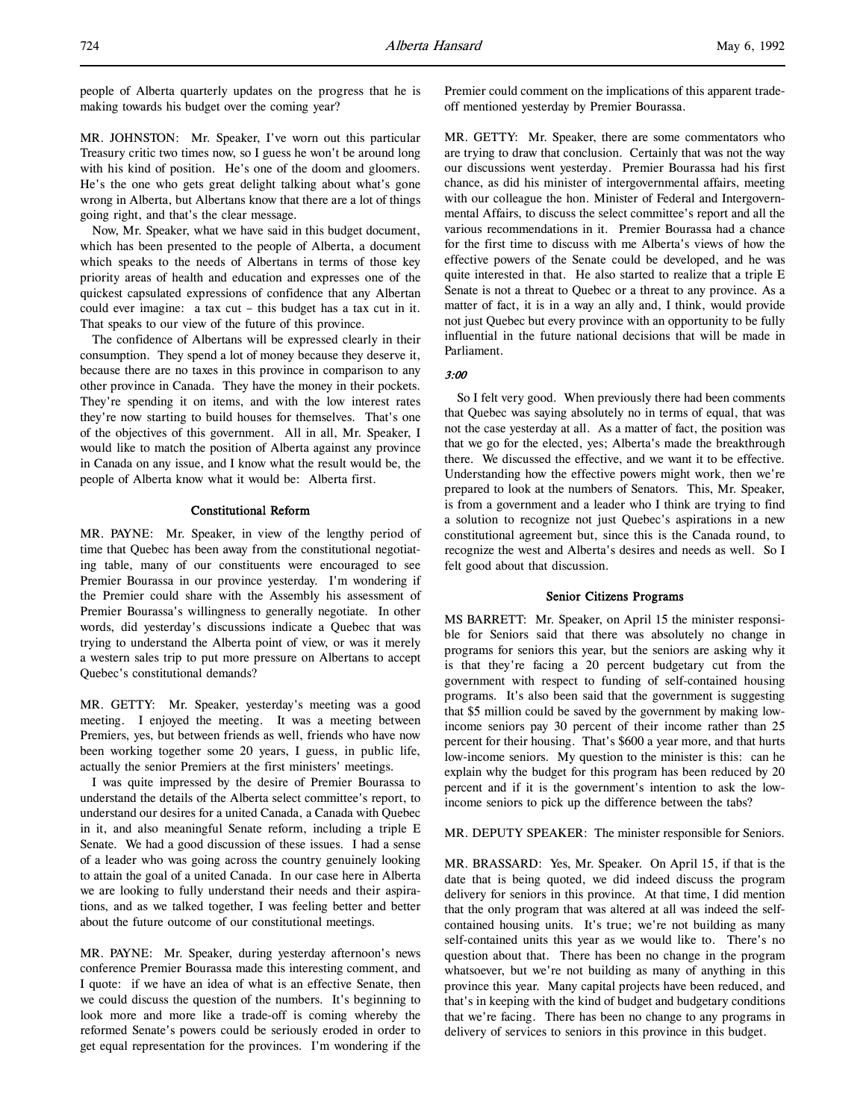people of Alberta quarterly updates on the progress that he is making towards his budget over the coming year?

MR. JOHNSTON: Mr. Speaker, I've worn out this particular Treasury critic two times now, so I guess he won't be around long with his kind of position. He's one of the doom and gloomers. He's the one who gets great delight talking about what's gone wrong in Alberta, but Albertans know that there are a lot of things going right, and that's the clear message.

Now, Mr. Speaker, what we have said in this budget document, which has been presented to the people of Alberta, a document which speaks to the needs of Albertans in terms of those key priority areas of health and education and expresses one of the quickest capsulated expressions of confidence that any Albertan could ever imagine: a tax cut – this budget has a tax cut in it. That speaks to our view of the future of this province.

The confidence of Albertans will be expressed clearly in their consumption. They spend a lot of money because they deserve it, because there are no taxes in this province in comparison to any other province in Canada. They have the money in their pockets. They're spending it on items, and with the low interest rates they're now starting to build houses for themselves. That's one of the objectives of this government. All in all, Mr. Speaker, I would like to match the position of Alberta against any province in Canada on any issue, and I know what the result would be, the people of Alberta know what it would be: Alberta first.

### Constitutional Reform

MR. PAYNE: Mr. Speaker, in view of the lengthy period of time that Quebec has been away from the constitutional negotiating table, many of our constituents were encouraged to see Premier Bourassa in our province yesterday. I'm wondering if the Premier could share with the Assembly his assessment of Premier Bourassa's willingness to generally negotiate. In other words, did yesterday's discussions indicate a Quebec that was trying to understand the Alberta point of view, or was it merely a western sales trip to put more pressure on Albertans to accept Quebec's constitutional demands?

MR. GETTY: Mr. Speaker, yesterday's meeting was a good meeting. I enjoyed the meeting. It was a meeting between Premiers, yes, but between friends as well, friends who have now been working together some 20 years, I guess, in public life, actually the senior Premiers at the first ministers' meetings.

I was quite impressed by the desire of Premier Bourassa to understand the details of the Alberta select committee's report, to understand our desires for a united Canada, a Canada with Quebec in it, and also meaningful Senate reform, including a triple E Senate. We had a good discussion of these issues. I had a sense of a leader who was going across the country genuinely looking to attain the goal of a united Canada. In our case here in Alberta we are looking to fully understand their needs and their aspirations, and as we talked together, I was feeling better and better about the future outcome of our constitutional meetings.

MR. PAYNE: Mr. Speaker, during yesterday afternoon's news conference Premier Bourassa made this interesting comment, and I quote: if we have an idea of what is an effective Senate, then we could discuss the question of the numbers. It's beginning to look more and more like a trade-off is coming whereby the reformed Senate's powers could be seriously eroded in order to get equal representation for the provinces. I'm wondering if the

Premier could comment on the implications of this apparent tradeoff mentioned yesterday by Premier Bourassa.

MR. GETTY: Mr. Speaker, there are some commentators who are trying to draw that conclusion. Certainly that was not the way our discussions went yesterday. Premier Bourassa had his first chance, as did his minister of intergovernmental affairs, meeting with our colleague the hon. Minister of Federal and Intergovernmental Affairs, to discuss the select committee's report and all the various recommendations in it. Premier Bourassa had a chance for the first time to discuss with me Alberta's views of how the effective powers of the Senate could be developed, and he was quite interested in that. He also started to realize that a triple E Senate is not a threat to Quebec or a threat to any province. As a matter of fact, it is in a way an ally and, I think, would provide not just Quebec but every province with an opportunity to be fully influential in the future national decisions that will be made in Parliament.

# 3:00

So I felt very good. When previously there had been comments that Quebec was saying absolutely no in terms of equal, that was not the case yesterday at all. As a matter of fact, the position was that we go for the elected, yes; Alberta's made the breakthrough there. We discussed the effective, and we want it to be effective. Understanding how the effective powers might work, then we're prepared to look at the numbers of Senators. This, Mr. Speaker, is from a government and a leader who I think are trying to find a solution to recognize not just Quebec's aspirations in a new constitutional agreement but, since this is the Canada round, to recognize the west and Alberta's desires and needs as well. So I felt good about that discussion.

### Senior Citizens Programs

MS BARRETT: Mr. Speaker, on April 15 the minister responsible for Seniors said that there was absolutely no change in programs for seniors this year, but the seniors are asking why it is that they're facing a 20 percent budgetary cut from the government with respect to funding of self-contained housing programs. It's also been said that the government is suggesting that \$5 million could be saved by the government by making lowincome seniors pay 30 percent of their income rather than 25 percent for their housing. That's \$600 a year more, and that hurts low-income seniors. My question to the minister is this: can he explain why the budget for this program has been reduced by 20 percent and if it is the government's intention to ask the lowincome seniors to pick up the difference between the tabs?

MR. DEPUTY SPEAKER: The minister responsible for Seniors.

MR. BRASSARD: Yes, Mr. Speaker. On April 15, if that is the date that is being quoted, we did indeed discuss the program delivery for seniors in this province. At that time, I did mention that the only program that was altered at all was indeed the selfcontained housing units. It's true; we're not building as many self-contained units this year as we would like to. There's no question about that. There has been no change in the program whatsoever, but we're not building as many of anything in this province this year. Many capital projects have been reduced, and that's in keeping with the kind of budget and budgetary conditions that we're facing. There has been no change to any programs in delivery of services to seniors in this province in this budget.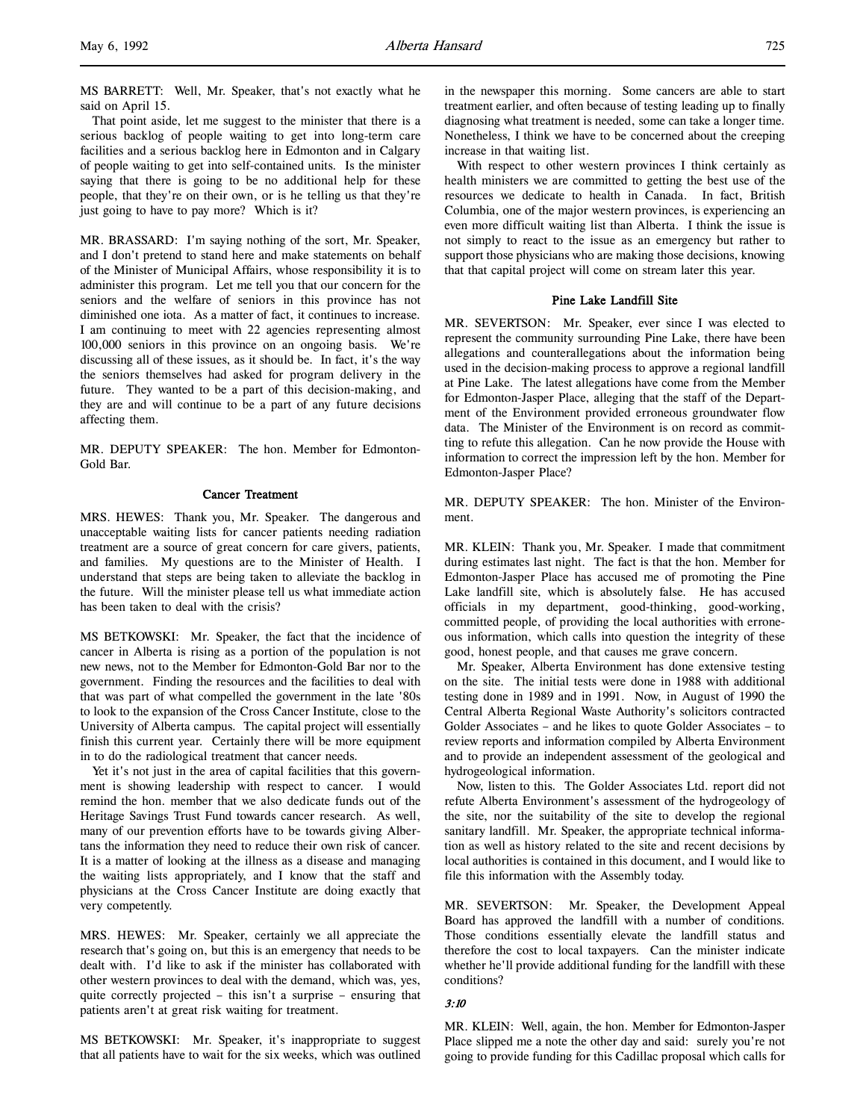MS BARRETT: Well, Mr. Speaker, that's not exactly what he said on April 15.

That point aside, let me suggest to the minister that there is a serious backlog of people waiting to get into long-term care facilities and a serious backlog here in Edmonton and in Calgary of people waiting to get into self-contained units. Is the minister saying that there is going to be no additional help for these people, that they're on their own, or is he telling us that they're just going to have to pay more? Which is it?

MR. BRASSARD: I'm saying nothing of the sort, Mr. Speaker, and I don't pretend to stand here and make statements on behalf of the Minister of Municipal Affairs, whose responsibility it is to administer this program. Let me tell you that our concern for the seniors and the welfare of seniors in this province has not diminished one iota. As a matter of fact, it continues to increase. I am continuing to meet with 22 agencies representing almost 100,000 seniors in this province on an ongoing basis. We're discussing all of these issues, as it should be. In fact, it's the way the seniors themselves had asked for program delivery in the future. They wanted to be a part of this decision-making, and they are and will continue to be a part of any future decisions affecting them.

MR. DEPUTY SPEAKER: The hon. Member for Edmonton-Gold Bar.

# Cancer Treatment

MRS. HEWES: Thank you, Mr. Speaker. The dangerous and unacceptable waiting lists for cancer patients needing radiation treatment are a source of great concern for care givers, patients, and families. My questions are to the Minister of Health. I understand that steps are being taken to alleviate the backlog in the future. Will the minister please tell us what immediate action has been taken to deal with the crisis?

MS BETKOWSKI: Mr. Speaker, the fact that the incidence of cancer in Alberta is rising as a portion of the population is not new news, not to the Member for Edmonton-Gold Bar nor to the government. Finding the resources and the facilities to deal with that was part of what compelled the government in the late '80s to look to the expansion of the Cross Cancer Institute, close to the University of Alberta campus. The capital project will essentially finish this current year. Certainly there will be more equipment in to do the radiological treatment that cancer needs.

Yet it's not just in the area of capital facilities that this government is showing leadership with respect to cancer. I would remind the hon. member that we also dedicate funds out of the Heritage Savings Trust Fund towards cancer research. As well, many of our prevention efforts have to be towards giving Albertans the information they need to reduce their own risk of cancer. It is a matter of looking at the illness as a disease and managing the waiting lists appropriately, and I know that the staff and physicians at the Cross Cancer Institute are doing exactly that very competently.

MRS. HEWES: Mr. Speaker, certainly we all appreciate the research that's going on, but this is an emergency that needs to be dealt with. I'd like to ask if the minister has collaborated with other western provinces to deal with the demand, which was, yes, quite correctly projected – this isn't a surprise – ensuring that patients aren't at great risk waiting for treatment.

MS BETKOWSKI: Mr. Speaker, it's inappropriate to suggest that all patients have to wait for the six weeks, which was outlined

in the newspaper this morning. Some cancers are able to start treatment earlier, and often because of testing leading up to finally diagnosing what treatment is needed, some can take a longer time. Nonetheless, I think we have to be concerned about the creeping increase in that waiting list.

With respect to other western provinces I think certainly as health ministers we are committed to getting the best use of the resources we dedicate to health in Canada. In fact, British Columbia, one of the major western provinces, is experiencing an even more difficult waiting list than Alberta. I think the issue is not simply to react to the issue as an emergency but rather to support those physicians who are making those decisions, knowing that that capital project will come on stream later this year.

### Pine Lake Landfill Site

MR. SEVERTSON: Mr. Speaker, ever since I was elected to represent the community surrounding Pine Lake, there have been allegations and counterallegations about the information being used in the decision-making process to approve a regional landfill at Pine Lake. The latest allegations have come from the Member for Edmonton-Jasper Place, alleging that the staff of the Department of the Environment provided erroneous groundwater flow data. The Minister of the Environment is on record as committing to refute this allegation. Can he now provide the House with information to correct the impression left by the hon. Member for Edmonton-Jasper Place?

MR. DEPUTY SPEAKER: The hon. Minister of the Environment.

MR. KLEIN: Thank you, Mr. Speaker. I made that commitment during estimates last night. The fact is that the hon. Member for Edmonton-Jasper Place has accused me of promoting the Pine Lake landfill site, which is absolutely false. He has accused officials in my department, good-thinking, good-working, committed people, of providing the local authorities with erroneous information, which calls into question the integrity of these good, honest people, and that causes me grave concern.

Mr. Speaker, Alberta Environment has done extensive testing on the site. The initial tests were done in 1988 with additional testing done in 1989 and in 1991. Now, in August of 1990 the Central Alberta Regional Waste Authority's solicitors contracted Golder Associates – and he likes to quote Golder Associates – to review reports and information compiled by Alberta Environment and to provide an independent assessment of the geological and hydrogeological information.

Now, listen to this. The Golder Associates Ltd. report did not refute Alberta Environment's assessment of the hydrogeology of the site, nor the suitability of the site to develop the regional sanitary landfill. Mr. Speaker, the appropriate technical information as well as history related to the site and recent decisions by local authorities is contained in this document, and I would like to file this information with the Assembly today.

MR. SEVERTSON: Mr. Speaker, the Development Appeal Board has approved the landfill with a number of conditions. Those conditions essentially elevate the landfill status and therefore the cost to local taxpayers. Can the minister indicate whether he'll provide additional funding for the landfill with these conditions?

# 3:10

MR. KLEIN: Well, again, the hon. Member for Edmonton-Jasper Place slipped me a note the other day and said: surely you're not going to provide funding for this Cadillac proposal which calls for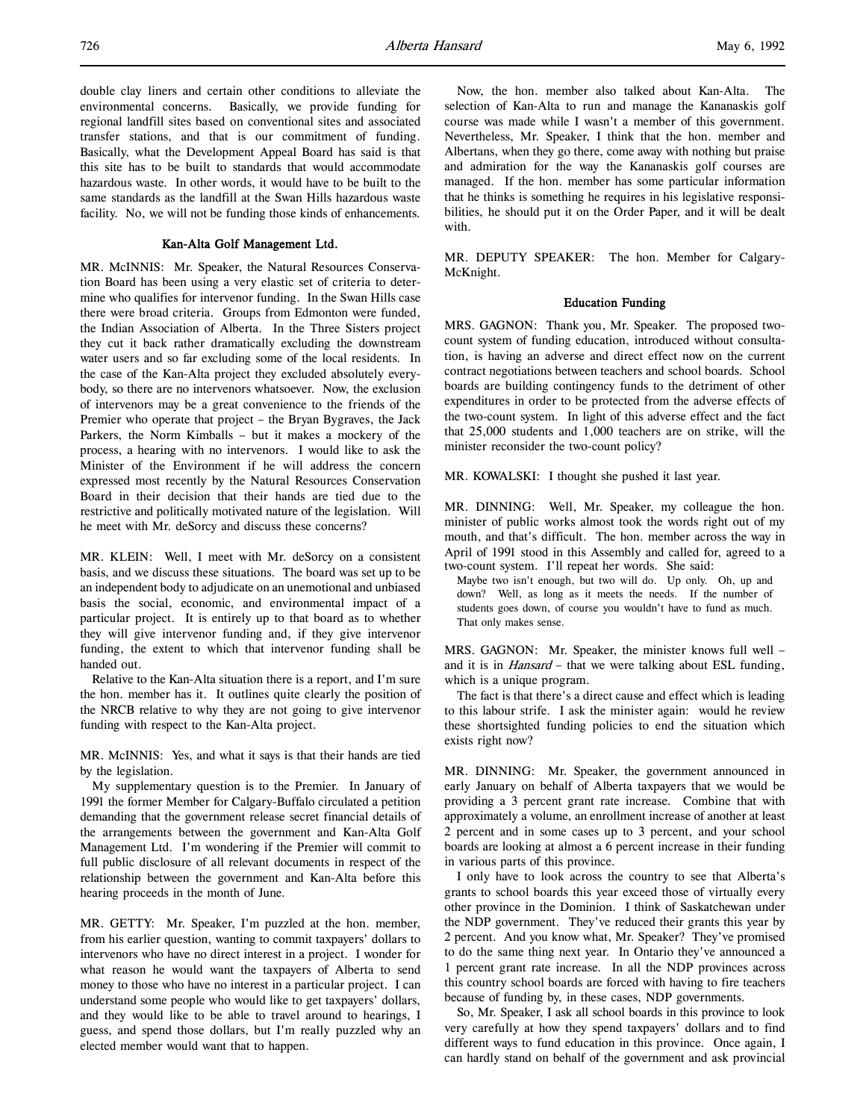double clay liners and certain other conditions to alleviate the environmental concerns. Basically, we provide funding for regional landfill sites based on conventional sites and associated transfer stations, and that is our commitment of funding. Basically, what the Development Appeal Board has said is that this site has to be built to standards that would accommodate hazardous waste. In other words, it would have to be built to the same standards as the landfill at the Swan Hills hazardous waste facility. No, we will not be funding those kinds of enhancements.

#### Kan-Alta Golf Management Ltd.

MR. McINNIS: Mr. Speaker, the Natural Resources Conservation Board has been using a very elastic set of criteria to determine who qualifies for intervenor funding. In the Swan Hills case there were broad criteria. Groups from Edmonton were funded, the Indian Association of Alberta. In the Three Sisters project they cut it back rather dramatically excluding the downstream water users and so far excluding some of the local residents. In the case of the Kan-Alta project they excluded absolutely everybody, so there are no intervenors whatsoever. Now, the exclusion of intervenors may be a great convenience to the friends of the Premier who operate that project – the Bryan Bygraves, the Jack Parkers, the Norm Kimballs – but it makes a mockery of the process, a hearing with no intervenors. I would like to ask the Minister of the Environment if he will address the concern expressed most recently by the Natural Resources Conservation Board in their decision that their hands are tied due to the restrictive and politically motivated nature of the legislation. Will he meet with Mr. deSorcy and discuss these concerns?

MR. KLEIN: Well, I meet with Mr. deSorcy on a consistent basis, and we discuss these situations. The board was set up to be an independent body to adjudicate on an unemotional and unbiased basis the social, economic, and environmental impact of a particular project. It is entirely up to that board as to whether they will give intervenor funding and, if they give intervenor funding, the extent to which that intervenor funding shall be handed out.

Relative to the Kan-Alta situation there is a report, and I'm sure the hon. member has it. It outlines quite clearly the position of the NRCB relative to why they are not going to give intervenor funding with respect to the Kan-Alta project.

MR. McINNIS: Yes, and what it says is that their hands are tied by the legislation.

My supplementary question is to the Premier. In January of 1991 the former Member for Calgary-Buffalo circulated a petition demanding that the government release secret financial details of the arrangements between the government and Kan-Alta Golf Management Ltd. I'm wondering if the Premier will commit to full public disclosure of all relevant documents in respect of the relationship between the government and Kan-Alta before this hearing proceeds in the month of June.

MR. GETTY: Mr. Speaker, I'm puzzled at the hon. member, from his earlier question, wanting to commit taxpayers' dollars to intervenors who have no direct interest in a project. I wonder for what reason he would want the taxpayers of Alberta to send money to those who have no interest in a particular project. I can understand some people who would like to get taxpayers' dollars, and they would like to be able to travel around to hearings, I guess, and spend those dollars, but I'm really puzzled why an elected member would want that to happen.

Now, the hon. member also talked about Kan-Alta. The selection of Kan-Alta to run and manage the Kananaskis golf course was made while I wasn't a member of this government. Nevertheless, Mr. Speaker, I think that the hon. member and Albertans, when they go there, come away with nothing but praise and admiration for the way the Kananaskis golf courses are managed. If the hon. member has some particular information that he thinks is something he requires in his legislative responsibilities, he should put it on the Order Paper, and it will be dealt with.

MR. DEPUTY SPEAKER: The hon. Member for Calgary-McKnight.

# Education Funding

MRS. GAGNON: Thank you, Mr. Speaker. The proposed twocount system of funding education, introduced without consultation, is having an adverse and direct effect now on the current contract negotiations between teachers and school boards. School boards are building contingency funds to the detriment of other expenditures in order to be protected from the adverse effects of the two-count system. In light of this adverse effect and the fact that 25,000 students and 1,000 teachers are on strike, will the minister reconsider the two-count policy?

MR. KOWALSKI: I thought she pushed it last year.

MR. DINNING: Well, Mr. Speaker, my colleague the hon. minister of public works almost took the words right out of my mouth, and that's difficult. The hon. member across the way in April of 1991 stood in this Assembly and called for, agreed to a two-count system. I'll repeat her words. She said:

Maybe two isn't enough, but two will do. Up only. Oh, up and down? Well, as long as it meets the needs. If the number of students goes down, of course you wouldn't have to fund as much. That only makes sense.

MRS. GAGNON: Mr. Speaker, the minister knows full well – and it is in *Hansard* – that we were talking about ESL funding, which is a unique program.

The fact is that there's a direct cause and effect which is leading to this labour strife. I ask the minister again: would he review these shortsighted funding policies to end the situation which exists right now?

MR. DINNING: Mr. Speaker, the government announced in early January on behalf of Alberta taxpayers that we would be providing a 3 percent grant rate increase. Combine that with approximately a volume, an enrollment increase of another at least 2 percent and in some cases up to 3 percent, and your school boards are looking at almost a 6 percent increase in their funding in various parts of this province.

I only have to look across the country to see that Alberta's grants to school boards this year exceed those of virtually every other province in the Dominion. I think of Saskatchewan under the NDP government. They've reduced their grants this year by 2 percent. And you know what, Mr. Speaker? They've promised to do the same thing next year. In Ontario they've announced a 1 percent grant rate increase. In all the NDP provinces across this country school boards are forced with having to fire teachers because of funding by, in these cases, NDP governments.

So, Mr. Speaker, I ask all school boards in this province to look very carefully at how they spend taxpayers' dollars and to find different ways to fund education in this province. Once again, I can hardly stand on behalf of the government and ask provincial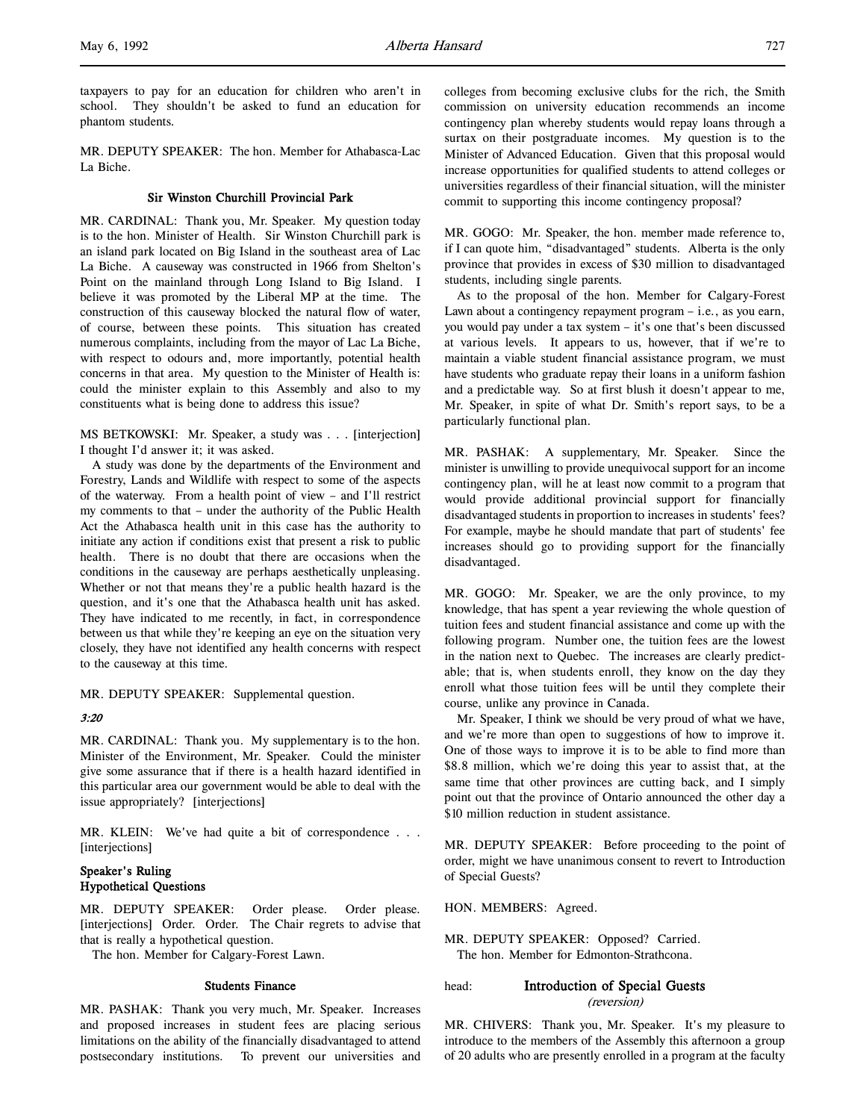taxpayers to pay for an education for children who aren't in school. They shouldn't be asked to fund an education for phantom students.

MR. DEPUTY SPEAKER: The hon. Member for Athabasca-Lac La Biche.

### Sir Winston Churchill Provincial Park

MR. CARDINAL: Thank you, Mr. Speaker. My question today is to the hon. Minister of Health. Sir Winston Churchill park is an island park located on Big Island in the southeast area of Lac La Biche. A causeway was constructed in 1966 from Shelton's Point on the mainland through Long Island to Big Island. I believe it was promoted by the Liberal MP at the time. The construction of this causeway blocked the natural flow of water, of course, between these points. This situation has created numerous complaints, including from the mayor of Lac La Biche, with respect to odours and, more importantly, potential health concerns in that area. My question to the Minister of Health is: could the minister explain to this Assembly and also to my constituents what is being done to address this issue?

MS BETKOWSKI: Mr. Speaker, a study was . . . [interjection] I thought I'd answer it; it was asked.

A study was done by the departments of the Environment and Forestry, Lands and Wildlife with respect to some of the aspects of the waterway. From a health point of view – and I'll restrict my comments to that – under the authority of the Public Health Act the Athabasca health unit in this case has the authority to initiate any action if conditions exist that present a risk to public health. There is no doubt that there are occasions when the conditions in the causeway are perhaps aesthetically unpleasing. Whether or not that means they're a public health hazard is the question, and it's one that the Athabasca health unit has asked. They have indicated to me recently, in fact, in correspondence between us that while they're keeping an eye on the situation very closely, they have not identified any health concerns with respect to the causeway at this time.

MR. DEPUTY SPEAKER: Supplemental question.

#### 3:20

MR. CARDINAL: Thank you. My supplementary is to the hon. Minister of the Environment, Mr. Speaker. Could the minister give some assurance that if there is a health hazard identified in this particular area our government would be able to deal with the issue appropriately? [interjections]

MR. KLEIN: We've had quite a bit of correspondence . . . [interjections]

# Speaker's Ruling Hypothetical Questions

MR. DEPUTY SPEAKER: Order please. Order please. [interjections] Order. Order. The Chair regrets to advise that that is really a hypothetical question.

The hon. Member for Calgary-Forest Lawn.

#### Students Finance

MR. PASHAK: Thank you very much, Mr. Speaker. Increases and proposed increases in student fees are placing serious limitations on the ability of the financially disadvantaged to attend postsecondary institutions. To prevent our universities and

colleges from becoming exclusive clubs for the rich, the Smith commission on university education recommends an income contingency plan whereby students would repay loans through a surtax on their postgraduate incomes. My question is to the Minister of Advanced Education. Given that this proposal would increase opportunities for qualified students to attend colleges or universities regardless of their financial situation, will the minister commit to supporting this income contingency proposal?

MR. GOGO: Mr. Speaker, the hon. member made reference to, if I can quote him, "disadvantaged" students. Alberta is the only province that provides in excess of \$30 million to disadvantaged students, including single parents.

As to the proposal of the hon. Member for Calgary-Forest Lawn about a contingency repayment program – i.e., as you earn, you would pay under a tax system – it's one that's been discussed at various levels. It appears to us, however, that if we're to maintain a viable student financial assistance program, we must have students who graduate repay their loans in a uniform fashion and a predictable way. So at first blush it doesn't appear to me, Mr. Speaker, in spite of what Dr. Smith's report says, to be a particularly functional plan.

MR. PASHAK: A supplementary, Mr. Speaker. Since the minister is unwilling to provide unequivocal support for an income contingency plan, will he at least now commit to a program that would provide additional provincial support for financially disadvantaged students in proportion to increases in students' fees? For example, maybe he should mandate that part of students' fee increases should go to providing support for the financially disadvantaged.

MR. GOGO: Mr. Speaker, we are the only province, to my knowledge, that has spent a year reviewing the whole question of tuition fees and student financial assistance and come up with the following program. Number one, the tuition fees are the lowest in the nation next to Quebec. The increases are clearly predictable; that is, when students enroll, they know on the day they enroll what those tuition fees will be until they complete their course, unlike any province in Canada.

Mr. Speaker, I think we should be very proud of what we have, and we're more than open to suggestions of how to improve it. One of those ways to improve it is to be able to find more than \$8.8 million, which we're doing this year to assist that, at the same time that other provinces are cutting back, and I simply point out that the province of Ontario announced the other day a \$10 million reduction in student assistance.

MR. DEPUTY SPEAKER: Before proceeding to the point of order, might we have unanimous consent to revert to Introduction of Special Guests?

HON. MEMBERS: Agreed.

MR. DEPUTY SPEAKER: Opposed? Carried. The hon. Member for Edmonton-Strathcona.

# head: **Introduction of Special Guests** (reversion)

MR. CHIVERS: Thank you, Mr. Speaker. It's my pleasure to introduce to the members of the Assembly this afternoon a group of 20 adults who are presently enrolled in a program at the faculty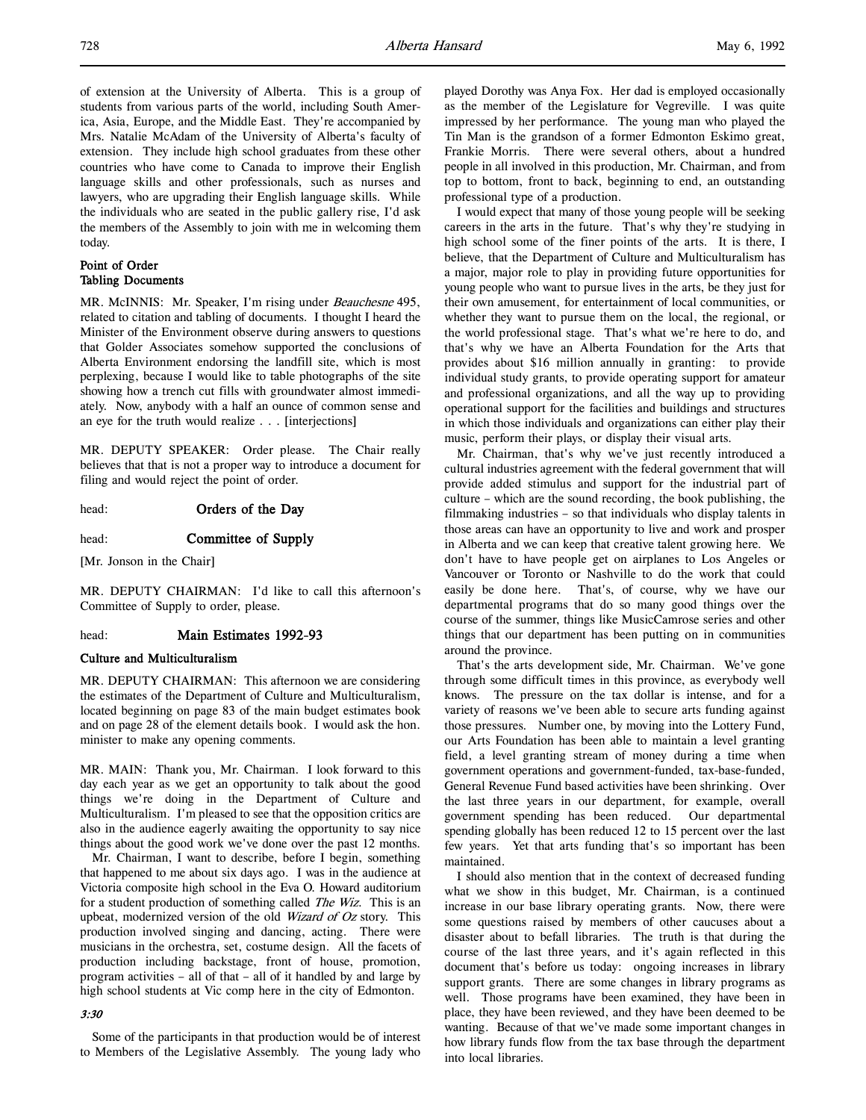of extension at the University of Alberta. This is a group of students from various parts of the world, including South America, Asia, Europe, and the Middle East. They're accompanied by Mrs. Natalie McAdam of the University of Alberta's faculty of extension. They include high school graduates from these other countries who have come to Canada to improve their English language skills and other professionals, such as nurses and lawyers, who are upgrading their English language skills. While the individuals who are seated in the public gallery rise, I'd ask the members of the Assembly to join with me in welcoming them today.

# Point of Order Tabling Documents

MR. McINNIS: Mr. Speaker, I'm rising under *Beauchesne* 495, related to citation and tabling of documents. I thought I heard the Minister of the Environment observe during answers to questions that Golder Associates somehow supported the conclusions of Alberta Environment endorsing the landfill site, which is most perplexing, because I would like to table photographs of the site showing how a trench cut fills with groundwater almost immediately. Now, anybody with a half an ounce of common sense and an eye for the truth would realize . . . [interjections]

MR. DEPUTY SPEAKER: Order please. The Chair really believes that that is not a proper way to introduce a document for filing and would reject the point of order.

head: **Orders of the Day** 

head: **Committee of Supply** 

[Mr. Jonson in the Chair]

MR. DEPUTY CHAIRMAN: I'd like to call this afternoon's Committee of Supply to order, please.

### head: Main Estimates 1992-93

## Culture and Multiculturalism

MR. DEPUTY CHAIRMAN: This afternoon we are considering the estimates of the Department of Culture and Multiculturalism, located beginning on page 83 of the main budget estimates book and on page 28 of the element details book. I would ask the hon. minister to make any opening comments.

MR. MAIN: Thank you, Mr. Chairman. I look forward to this day each year as we get an opportunity to talk about the good things we're doing in the Department of Culture and Multiculturalism. I'm pleased to see that the opposition critics are also in the audience eagerly awaiting the opportunity to say nice things about the good work we've done over the past 12 months.

Mr. Chairman, I want to describe, before I begin, something that happened to me about six days ago. I was in the audience at Victoria composite high school in the Eva O. Howard auditorium for a student production of something called *The Wiz*. This is an upbeat, modernized version of the old Wizard of Oz story. This production involved singing and dancing, acting. There were musicians in the orchestra, set, costume design. All the facets of production including backstage, front of house, promotion, program activities – all of that – all of it handled by and large by high school students at Vic comp here in the city of Edmonton.

#### 3:30

Some of the participants in that production would be of interest to Members of the Legislative Assembly. The young lady who

played Dorothy was Anya Fox. Her dad is employed occasionally as the member of the Legislature for Vegreville. I was quite impressed by her performance. The young man who played the Tin Man is the grandson of a former Edmonton Eskimo great, Frankie Morris. There were several others, about a hundred people in all involved in this production, Mr. Chairman, and from top to bottom, front to back, beginning to end, an outstanding professional type of a production.

I would expect that many of those young people will be seeking careers in the arts in the future. That's why they're studying in high school some of the finer points of the arts. It is there, I believe, that the Department of Culture and Multiculturalism has a major, major role to play in providing future opportunities for young people who want to pursue lives in the arts, be they just for their own amusement, for entertainment of local communities, or whether they want to pursue them on the local, the regional, or the world professional stage. That's what we're here to do, and that's why we have an Alberta Foundation for the Arts that provides about \$16 million annually in granting: to provide individual study grants, to provide operating support for amateur and professional organizations, and all the way up to providing operational support for the facilities and buildings and structures in which those individuals and organizations can either play their music, perform their plays, or display their visual arts.

Mr. Chairman, that's why we've just recently introduced a cultural industries agreement with the federal government that will provide added stimulus and support for the industrial part of culture – which are the sound recording, the book publishing, the filmmaking industries – so that individuals who display talents in those areas can have an opportunity to live and work and prosper in Alberta and we can keep that creative talent growing here. We don't have to have people get on airplanes to Los Angeles or Vancouver or Toronto or Nashville to do the work that could easily be done here. That's, of course, why we have our departmental programs that do so many good things over the course of the summer, things like MusicCamrose series and other things that our department has been putting on in communities around the province.

That's the arts development side, Mr. Chairman. We've gone through some difficult times in this province, as everybody well knows. The pressure on the tax dollar is intense, and for a variety of reasons we've been able to secure arts funding against those pressures. Number one, by moving into the Lottery Fund, our Arts Foundation has been able to maintain a level granting field, a level granting stream of money during a time when government operations and government-funded, tax-base-funded, General Revenue Fund based activities have been shrinking. Over the last three years in our department, for example, overall government spending has been reduced. Our departmental spending globally has been reduced 12 to 15 percent over the last few years. Yet that arts funding that's so important has been maintained.

I should also mention that in the context of decreased funding what we show in this budget, Mr. Chairman, is a continued increase in our base library operating grants. Now, there were some questions raised by members of other caucuses about a disaster about to befall libraries. The truth is that during the course of the last three years, and it's again reflected in this document that's before us today: ongoing increases in library support grants. There are some changes in library programs as well. Those programs have been examined, they have been in place, they have been reviewed, and they have been deemed to be wanting. Because of that we've made some important changes in how library funds flow from the tax base through the department into local libraries.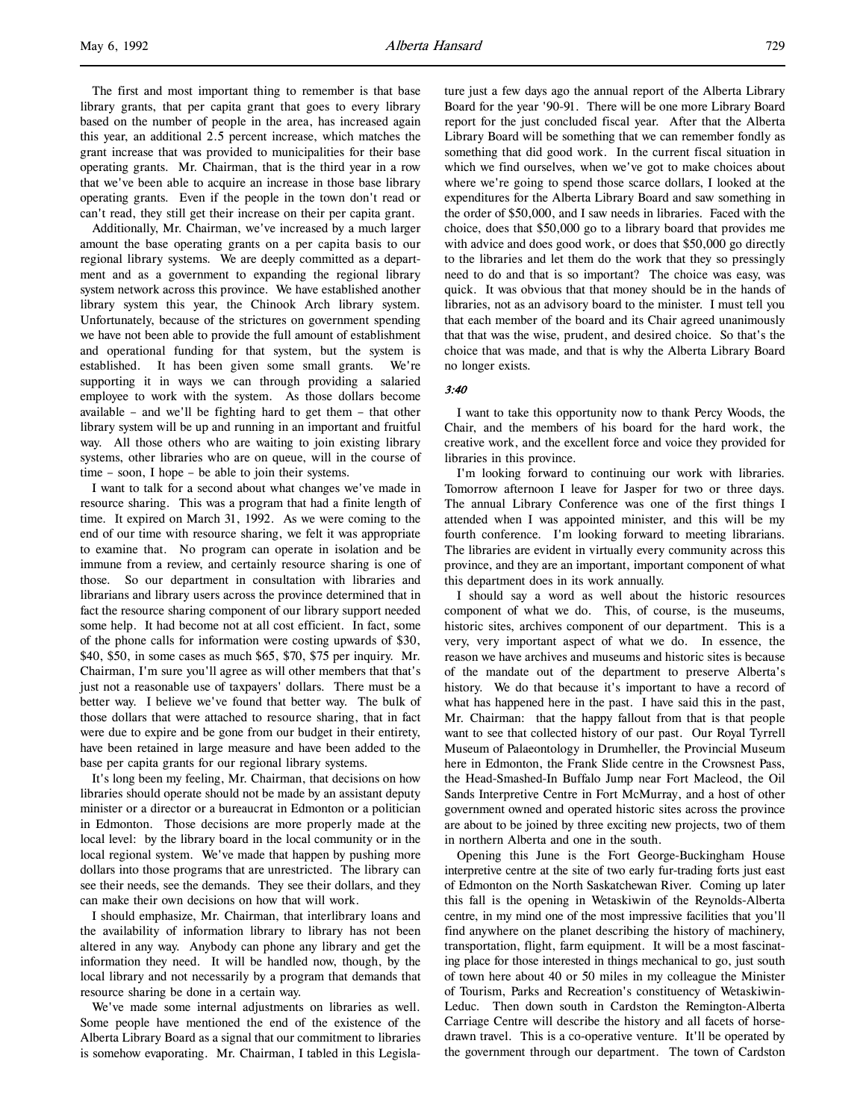The first and most important thing to remember is that base library grants, that per capita grant that goes to every library based on the number of people in the area, has increased again this year, an additional 2.5 percent increase, which matches the grant increase that was provided to municipalities for their base operating grants. Mr. Chairman, that is the third year in a row that we've been able to acquire an increase in those base library operating grants. Even if the people in the town don't read or can't read, they still get their increase on their per capita grant.

Additionally, Mr. Chairman, we've increased by a much larger amount the base operating grants on a per capita basis to our regional library systems. We are deeply committed as a department and as a government to expanding the regional library system network across this province. We have established another library system this year, the Chinook Arch library system. Unfortunately, because of the strictures on government spending we have not been able to provide the full amount of establishment and operational funding for that system, but the system is established. It has been given some small grants. We're supporting it in ways we can through providing a salaried employee to work with the system. As those dollars become available – and we'll be fighting hard to get them – that other library system will be up and running in an important and fruitful way. All those others who are waiting to join existing library systems, other libraries who are on queue, will in the course of time – soon, I hope – be able to join their systems.

I want to talk for a second about what changes we've made in resource sharing. This was a program that had a finite length of time. It expired on March 31, 1992. As we were coming to the end of our time with resource sharing, we felt it was appropriate to examine that. No program can operate in isolation and be immune from a review, and certainly resource sharing is one of those. So our department in consultation with libraries and librarians and library users across the province determined that in fact the resource sharing component of our library support needed some help. It had become not at all cost efficient. In fact, some of the phone calls for information were costing upwards of \$30, \$40, \$50, in some cases as much \$65, \$70, \$75 per inquiry. Mr. Chairman, I'm sure you'll agree as will other members that that's just not a reasonable use of taxpayers' dollars. There must be a better way. I believe we've found that better way. The bulk of those dollars that were attached to resource sharing, that in fact were due to expire and be gone from our budget in their entirety, have been retained in large measure and have been added to the base per capita grants for our regional library systems.

It's long been my feeling, Mr. Chairman, that decisions on how libraries should operate should not be made by an assistant deputy minister or a director or a bureaucrat in Edmonton or a politician in Edmonton. Those decisions are more properly made at the local level: by the library board in the local community or in the local regional system. We've made that happen by pushing more dollars into those programs that are unrestricted. The library can see their needs, see the demands. They see their dollars, and they can make their own decisions on how that will work.

I should emphasize, Mr. Chairman, that interlibrary loans and the availability of information library to library has not been altered in any way. Anybody can phone any library and get the information they need. It will be handled now, though, by the local library and not necessarily by a program that demands that resource sharing be done in a certain way.

We've made some internal adjustments on libraries as well. Some people have mentioned the end of the existence of the Alberta Library Board as a signal that our commitment to libraries is somehow evaporating. Mr. Chairman, I tabled in this Legislature just a few days ago the annual report of the Alberta Library Board for the year '90-91. There will be one more Library Board report for the just concluded fiscal year. After that the Alberta Library Board will be something that we can remember fondly as something that did good work. In the current fiscal situation in which we find ourselves, when we've got to make choices about where we're going to spend those scarce dollars, I looked at the expenditures for the Alberta Library Board and saw something in the order of \$50,000, and I saw needs in libraries. Faced with the choice, does that \$50,000 go to a library board that provides me with advice and does good work, or does that \$50,000 go directly to the libraries and let them do the work that they so pressingly need to do and that is so important? The choice was easy, was quick. It was obvious that that money should be in the hands of libraries, not as an advisory board to the minister. I must tell you that each member of the board and its Chair agreed unanimously that that was the wise, prudent, and desired choice. So that's the choice that was made, and that is why the Alberta Library Board no longer exists.

#### 3:40

I want to take this opportunity now to thank Percy Woods, the Chair, and the members of his board for the hard work, the creative work, and the excellent force and voice they provided for libraries in this province.

I'm looking forward to continuing our work with libraries. Tomorrow afternoon I leave for Jasper for two or three days. The annual Library Conference was one of the first things I attended when I was appointed minister, and this will be my fourth conference. I'm looking forward to meeting librarians. The libraries are evident in virtually every community across this province, and they are an important, important component of what this department does in its work annually.

I should say a word as well about the historic resources component of what we do. This, of course, is the museums, historic sites, archives component of our department. This is a very, very important aspect of what we do. In essence, the reason we have archives and museums and historic sites is because of the mandate out of the department to preserve Alberta's history. We do that because it's important to have a record of what has happened here in the past. I have said this in the past, Mr. Chairman: that the happy fallout from that is that people want to see that collected history of our past. Our Royal Tyrrell Museum of Palaeontology in Drumheller, the Provincial Museum here in Edmonton, the Frank Slide centre in the Crowsnest Pass, the Head-Smashed-In Buffalo Jump near Fort Macleod, the Oil Sands Interpretive Centre in Fort McMurray, and a host of other government owned and operated historic sites across the province are about to be joined by three exciting new projects, two of them in northern Alberta and one in the south.

Opening this June is the Fort George-Buckingham House interpretive centre at the site of two early fur-trading forts just east of Edmonton on the North Saskatchewan River. Coming up later this fall is the opening in Wetaskiwin of the Reynolds-Alberta centre, in my mind one of the most impressive facilities that you'll find anywhere on the planet describing the history of machinery, transportation, flight, farm equipment. It will be a most fascinating place for those interested in things mechanical to go, just south of town here about 40 or 50 miles in my colleague the Minister of Tourism, Parks and Recreation's constituency of Wetaskiwin-Leduc. Then down south in Cardston the Remington-Alberta Carriage Centre will describe the history and all facets of horsedrawn travel. This is a co-operative venture. It'll be operated by the government through our department. The town of Cardston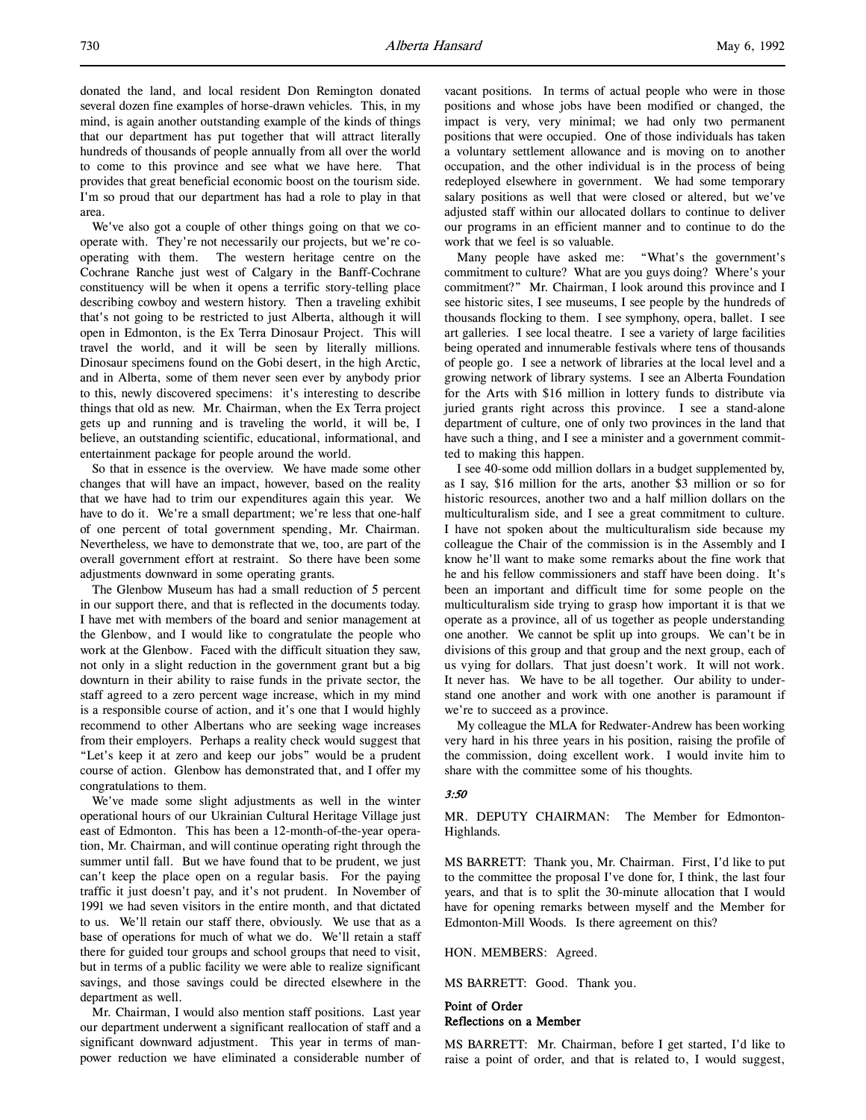donated the land, and local resident Don Remington donated several dozen fine examples of horse-drawn vehicles. This, in my mind, is again another outstanding example of the kinds of things that our department has put together that will attract literally hundreds of thousands of people annually from all over the world to come to this province and see what we have here. That provides that great beneficial economic boost on the tourism side. I'm so proud that our department has had a role to play in that area.

We've also got a couple of other things going on that we cooperate with. They're not necessarily our projects, but we're cooperating with them. The western heritage centre on the Cochrane Ranche just west of Calgary in the Banff-Cochrane constituency will be when it opens a terrific story-telling place describing cowboy and western history. Then a traveling exhibit that's not going to be restricted to just Alberta, although it will open in Edmonton, is the Ex Terra Dinosaur Project. This will travel the world, and it will be seen by literally millions. Dinosaur specimens found on the Gobi desert, in the high Arctic, and in Alberta, some of them never seen ever by anybody prior to this, newly discovered specimens: it's interesting to describe things that old as new. Mr. Chairman, when the Ex Terra project gets up and running and is traveling the world, it will be, I believe, an outstanding scientific, educational, informational, and entertainment package for people around the world.

So that in essence is the overview. We have made some other changes that will have an impact, however, based on the reality that we have had to trim our expenditures again this year. We have to do it. We're a small department; we're less that one-half of one percent of total government spending, Mr. Chairman. Nevertheless, we have to demonstrate that we, too, are part of the overall government effort at restraint. So there have been some adjustments downward in some operating grants.

The Glenbow Museum has had a small reduction of 5 percent in our support there, and that is reflected in the documents today. I have met with members of the board and senior management at the Glenbow, and I would like to congratulate the people who work at the Glenbow. Faced with the difficult situation they saw, not only in a slight reduction in the government grant but a big downturn in their ability to raise funds in the private sector, the staff agreed to a zero percent wage increase, which in my mind is a responsible course of action, and it's one that I would highly recommend to other Albertans who are seeking wage increases from their employers. Perhaps a reality check would suggest that "Let's keep it at zero and keep our jobs" would be a prudent course of action. Glenbow has demonstrated that, and I offer my congratulations to them.

We've made some slight adjustments as well in the winter operational hours of our Ukrainian Cultural Heritage Village just east of Edmonton. This has been a 12-month-of-the-year operation, Mr. Chairman, and will continue operating right through the summer until fall. But we have found that to be prudent, we just can't keep the place open on a regular basis. For the paying traffic it just doesn't pay, and it's not prudent. In November of 1991 we had seven visitors in the entire month, and that dictated to us. We'll retain our staff there, obviously. We use that as a base of operations for much of what we do. We'll retain a staff there for guided tour groups and school groups that need to visit, but in terms of a public facility we were able to realize significant savings, and those savings could be directed elsewhere in the department as well.

Mr. Chairman, I would also mention staff positions. Last year our department underwent a significant reallocation of staff and a significant downward adjustment. This year in terms of manpower reduction we have eliminated a considerable number of vacant positions. In terms of actual people who were in those positions and whose jobs have been modified or changed, the impact is very, very minimal; we had only two permanent positions that were occupied. One of those individuals has taken a voluntary settlement allowance and is moving on to another occupation, and the other individual is in the process of being redeployed elsewhere in government. We had some temporary salary positions as well that were closed or altered, but we've adjusted staff within our allocated dollars to continue to deliver our programs in an efficient manner and to continue to do the work that we feel is so valuable.

Many people have asked me: "What's the government's commitment to culture? What are you guys doing? Where's your commitment?" Mr. Chairman, I look around this province and I see historic sites, I see museums, I see people by the hundreds of thousands flocking to them. I see symphony, opera, ballet. I see art galleries. I see local theatre. I see a variety of large facilities being operated and innumerable festivals where tens of thousands of people go. I see a network of libraries at the local level and a growing network of library systems. I see an Alberta Foundation for the Arts with \$16 million in lottery funds to distribute via juried grants right across this province. I see a stand-alone department of culture, one of only two provinces in the land that have such a thing, and I see a minister and a government committed to making this happen.

I see 40-some odd million dollars in a budget supplemented by, as I say, \$16 million for the arts, another \$3 million or so for historic resources, another two and a half million dollars on the multiculturalism side, and I see a great commitment to culture. I have not spoken about the multiculturalism side because my colleague the Chair of the commission is in the Assembly and I know he'll want to make some remarks about the fine work that he and his fellow commissioners and staff have been doing. It's been an important and difficult time for some people on the multiculturalism side trying to grasp how important it is that we operate as a province, all of us together as people understanding one another. We cannot be split up into groups. We can't be in divisions of this group and that group and the next group, each of us vying for dollars. That just doesn't work. It will not work. It never has. We have to be all together. Our ability to understand one another and work with one another is paramount if we're to succeed as a province.

My colleague the MLA for Redwater-Andrew has been working very hard in his three years in his position, raising the profile of the commission, doing excellent work. I would invite him to share with the committee some of his thoughts.

## 3:50

MR. DEPUTY CHAIRMAN: The Member for Edmonton-Highlands.

MS BARRETT: Thank you, Mr. Chairman. First, I'd like to put to the committee the proposal I've done for, I think, the last four years, and that is to split the 30-minute allocation that I would have for opening remarks between myself and the Member for Edmonton-Mill Woods. Is there agreement on this?

HON. MEMBERS: Agreed.

MS BARRETT: Good. Thank you.

## Point of Order Reflections on a Member

MS BARRETT: Mr. Chairman, before I get started, I'd like to raise a point of order, and that is related to, I would suggest,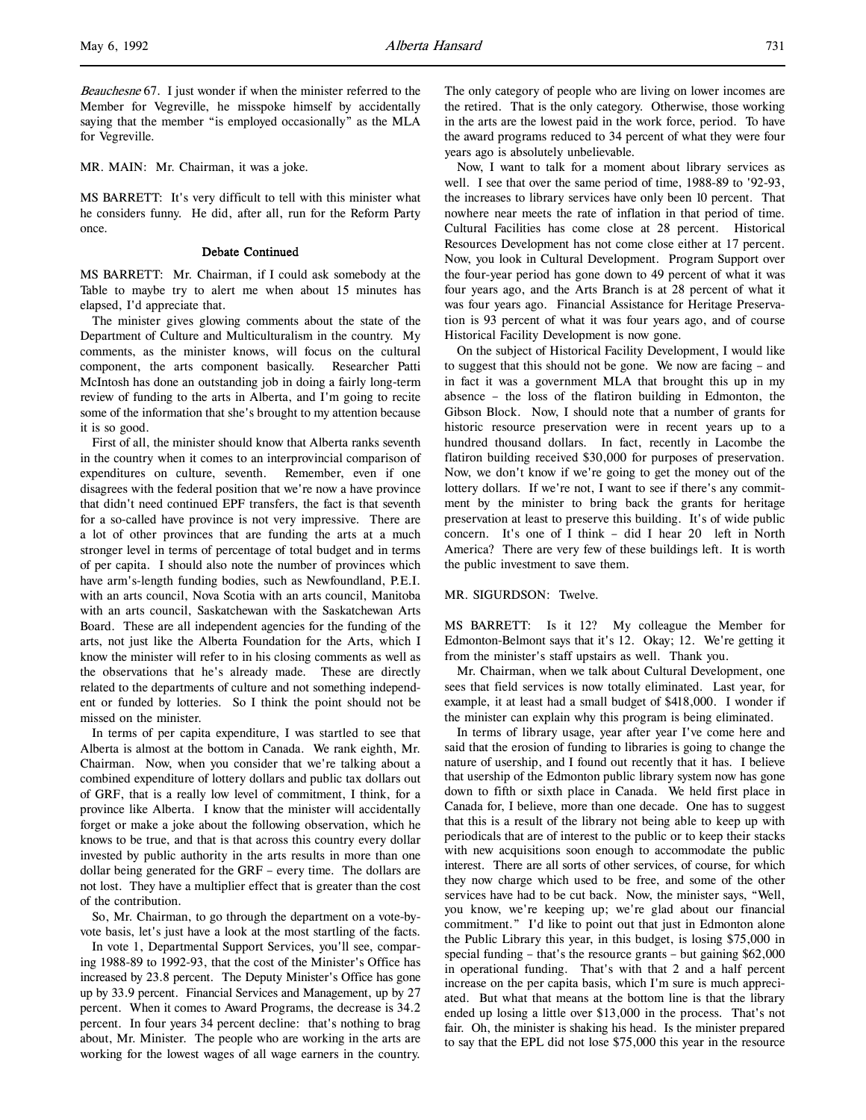MR. MAIN: Mr. Chairman, it was a joke.

MS BARRETT: It's very difficult to tell with this minister what he considers funny. He did, after all, run for the Reform Party once.

## Debate Continued

MS BARRETT: Mr. Chairman, if I could ask somebody at the Table to maybe try to alert me when about 15 minutes has elapsed, I'd appreciate that.

The minister gives glowing comments about the state of the Department of Culture and Multiculturalism in the country. My comments, as the minister knows, will focus on the cultural component, the arts component basically. Researcher Patti McIntosh has done an outstanding job in doing a fairly long-term review of funding to the arts in Alberta, and I'm going to recite some of the information that she's brought to my attention because it is so good.

First of all, the minister should know that Alberta ranks seventh in the country when it comes to an interprovincial comparison of expenditures on culture, seventh. Remember, even if one disagrees with the federal position that we're now a have province that didn't need continued EPF transfers, the fact is that seventh for a so-called have province is not very impressive. There are a lot of other provinces that are funding the arts at a much stronger level in terms of percentage of total budget and in terms of per capita. I should also note the number of provinces which have arm's-length funding bodies, such as Newfoundland, P.E.I. with an arts council, Nova Scotia with an arts council, Manitoba with an arts council, Saskatchewan with the Saskatchewan Arts Board. These are all independent agencies for the funding of the arts, not just like the Alberta Foundation for the Arts, which I know the minister will refer to in his closing comments as well as the observations that he's already made. These are directly related to the departments of culture and not something independent or funded by lotteries. So I think the point should not be missed on the minister.

In terms of per capita expenditure, I was startled to see that Alberta is almost at the bottom in Canada. We rank eighth, Mr. Chairman. Now, when you consider that we're talking about a combined expenditure of lottery dollars and public tax dollars out of GRF, that is a really low level of commitment, I think, for a province like Alberta. I know that the minister will accidentally forget or make a joke about the following observation, which he knows to be true, and that is that across this country every dollar invested by public authority in the arts results in more than one dollar being generated for the GRF – every time. The dollars are not lost. They have a multiplier effect that is greater than the cost of the contribution.

So, Mr. Chairman, to go through the department on a vote-byvote basis, let's just have a look at the most startling of the facts.

In vote 1, Departmental Support Services, you'll see, comparing 1988-89 to 1992-93, that the cost of the Minister's Office has increased by 23.8 percent. The Deputy Minister's Office has gone up by 33.9 percent. Financial Services and Management, up by 27 percent. When it comes to Award Programs, the decrease is 34.2 percent. In four years 34 percent decline: that's nothing to brag about, Mr. Minister. The people who are working in the arts are working for the lowest wages of all wage earners in the country.

The only category of people who are living on lower incomes are the retired. That is the only category. Otherwise, those working in the arts are the lowest paid in the work force, period. To have the award programs reduced to 34 percent of what they were four years ago is absolutely unbelievable.

Now, I want to talk for a moment about library services as well. I see that over the same period of time, 1988-89 to '92-93, the increases to library services have only been 10 percent. That nowhere near meets the rate of inflation in that period of time. Cultural Facilities has come close at 28 percent. Historical Resources Development has not come close either at 17 percent. Now, you look in Cultural Development. Program Support over the four-year period has gone down to 49 percent of what it was four years ago, and the Arts Branch is at 28 percent of what it was four years ago. Financial Assistance for Heritage Preservation is 93 percent of what it was four years ago, and of course Historical Facility Development is now gone.

On the subject of Historical Facility Development, I would like to suggest that this should not be gone. We now are facing – and in fact it was a government MLA that brought this up in my absence – the loss of the flatiron building in Edmonton, the Gibson Block. Now, I should note that a number of grants for historic resource preservation were in recent years up to a hundred thousand dollars. In fact, recently in Lacombe the flatiron building received \$30,000 for purposes of preservation. Now, we don't know if we're going to get the money out of the lottery dollars. If we're not, I want to see if there's any commitment by the minister to bring back the grants for heritage preservation at least to preserve this building. It's of wide public concern. It's one of I think – did I hear 20 left in North America? There are very few of these buildings left. It is worth the public investment to save them.

#### MR. SIGURDSON: Twelve.

MS BARRETT: Is it 12? My colleague the Member for Edmonton-Belmont says that it's 12. Okay; 12. We're getting it from the minister's staff upstairs as well. Thank you.

Mr. Chairman, when we talk about Cultural Development, one sees that field services is now totally eliminated. Last year, for example, it at least had a small budget of \$418,000. I wonder if the minister can explain why this program is being eliminated.

In terms of library usage, year after year I've come here and said that the erosion of funding to libraries is going to change the nature of usership, and I found out recently that it has. I believe that usership of the Edmonton public library system now has gone down to fifth or sixth place in Canada. We held first place in Canada for, I believe, more than one decade. One has to suggest that this is a result of the library not being able to keep up with periodicals that are of interest to the public or to keep their stacks with new acquisitions soon enough to accommodate the public interest. There are all sorts of other services, of course, for which they now charge which used to be free, and some of the other services have had to be cut back. Now, the minister says, "Well, you know, we're keeping up; we're glad about our financial commitment." I'd like to point out that just in Edmonton alone the Public Library this year, in this budget, is losing \$75,000 in special funding – that's the resource grants – but gaining \$62,000 in operational funding. That's with that 2 and a half percent increase on the per capita basis, which I'm sure is much appreciated. But what that means at the bottom line is that the library ended up losing a little over \$13,000 in the process. That's not fair. Oh, the minister is shaking his head. Is the minister prepared to say that the EPL did not lose \$75,000 this year in the resource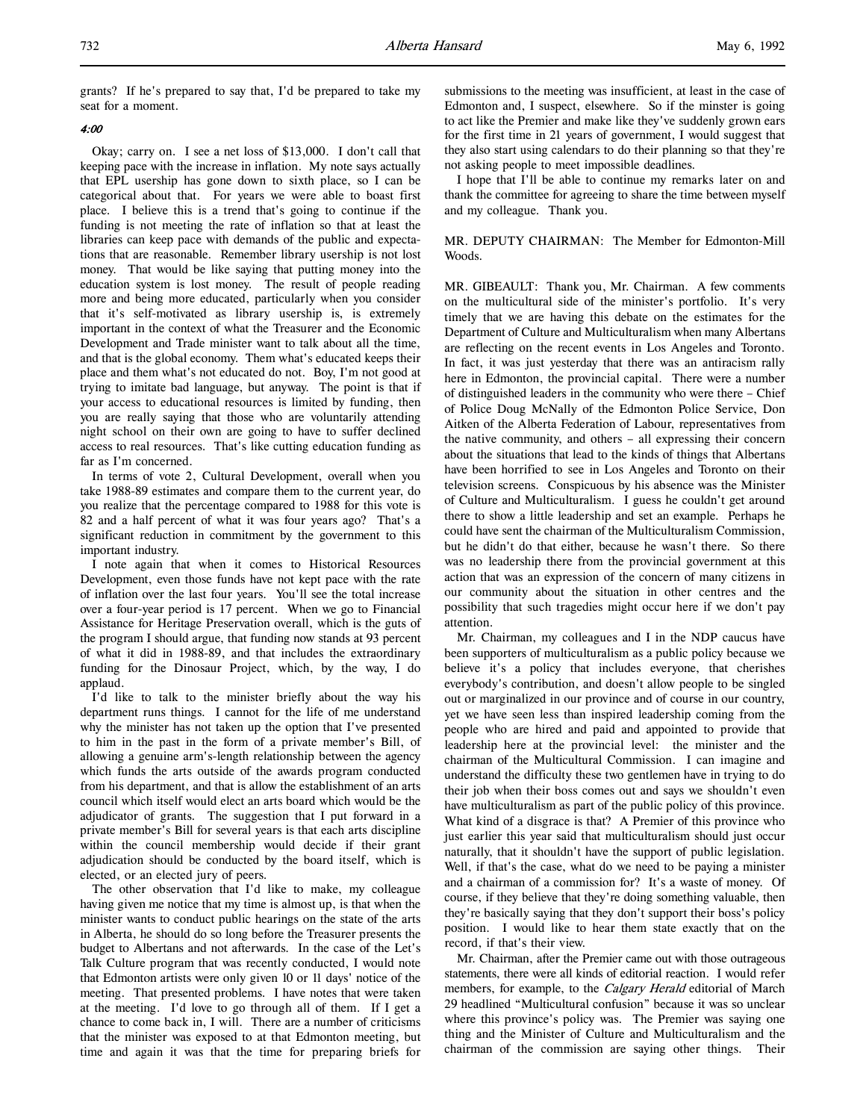grants? If he's prepared to say that, I'd be prepared to take my seat for a moment.

## 4:00

Okay; carry on. I see a net loss of \$13,000. I don't call that keeping pace with the increase in inflation. My note says actually that EPL usership has gone down to sixth place, so I can be categorical about that. For years we were able to boast first place. I believe this is a trend that's going to continue if the funding is not meeting the rate of inflation so that at least the libraries can keep pace with demands of the public and expectations that are reasonable. Remember library usership is not lost money. That would be like saying that putting money into the education system is lost money. The result of people reading more and being more educated, particularly when you consider that it's self-motivated as library usership is, is extremely important in the context of what the Treasurer and the Economic Development and Trade minister want to talk about all the time, and that is the global economy. Them what's educated keeps their place and them what's not educated do not. Boy, I'm not good at trying to imitate bad language, but anyway. The point is that if your access to educational resources is limited by funding, then you are really saying that those who are voluntarily attending night school on their own are going to have to suffer declined access to real resources. That's like cutting education funding as far as I'm concerned.

In terms of vote 2, Cultural Development, overall when you take 1988-89 estimates and compare them to the current year, do you realize that the percentage compared to 1988 for this vote is 82 and a half percent of what it was four years ago? That's a significant reduction in commitment by the government to this important industry.

I note again that when it comes to Historical Resources Development, even those funds have not kept pace with the rate of inflation over the last four years. You'll see the total increase over a four-year period is 17 percent. When we go to Financial Assistance for Heritage Preservation overall, which is the guts of the program I should argue, that funding now stands at 93 percent of what it did in 1988-89, and that includes the extraordinary funding for the Dinosaur Project, which, by the way, I do applaud.

I'd like to talk to the minister briefly about the way his department runs things. I cannot for the life of me understand why the minister has not taken up the option that I've presented to him in the past in the form of a private member's Bill, of allowing a genuine arm's-length relationship between the agency which funds the arts outside of the awards program conducted from his department, and that is allow the establishment of an arts council which itself would elect an arts board which would be the adjudicator of grants. The suggestion that I put forward in a private member's Bill for several years is that each arts discipline within the council membership would decide if their grant adjudication should be conducted by the board itself, which is elected, or an elected jury of peers.

The other observation that I'd like to make, my colleague having given me notice that my time is almost up, is that when the minister wants to conduct public hearings on the state of the arts in Alberta, he should do so long before the Treasurer presents the budget to Albertans and not afterwards. In the case of the Let's Talk Culture program that was recently conducted, I would note that Edmonton artists were only given 10 or 11 days' notice of the meeting. That presented problems. I have notes that were taken at the meeting. I'd love to go through all of them. If I get a chance to come back in, I will. There are a number of criticisms that the minister was exposed to at that Edmonton meeting, but time and again it was that the time for preparing briefs for submissions to the meeting was insufficient, at least in the case of Edmonton and, I suspect, elsewhere. So if the minster is going to act like the Premier and make like they've suddenly grown ears for the first time in 21 years of government, I would suggest that they also start using calendars to do their planning so that they're not asking people to meet impossible deadlines.

I hope that I'll be able to continue my remarks later on and thank the committee for agreeing to share the time between myself and my colleague. Thank you.

# MR. DEPUTY CHAIRMAN: The Member for Edmonton-Mill Woods.

MR. GIBEAULT: Thank you, Mr. Chairman. A few comments on the multicultural side of the minister's portfolio. It's very timely that we are having this debate on the estimates for the Department of Culture and Multiculturalism when many Albertans are reflecting on the recent events in Los Angeles and Toronto. In fact, it was just yesterday that there was an antiracism rally here in Edmonton, the provincial capital. There were a number of distinguished leaders in the community who were there – Chief of Police Doug McNally of the Edmonton Police Service, Don Aitken of the Alberta Federation of Labour, representatives from the native community, and others – all expressing their concern about the situations that lead to the kinds of things that Albertans have been horrified to see in Los Angeles and Toronto on their television screens. Conspicuous by his absence was the Minister of Culture and Multiculturalism. I guess he couldn't get around there to show a little leadership and set an example. Perhaps he could have sent the chairman of the Multiculturalism Commission, but he didn't do that either, because he wasn't there. So there was no leadership there from the provincial government at this action that was an expression of the concern of many citizens in our community about the situation in other centres and the possibility that such tragedies might occur here if we don't pay attention.

Mr. Chairman, my colleagues and I in the NDP caucus have been supporters of multiculturalism as a public policy because we believe it's a policy that includes everyone, that cherishes everybody's contribution, and doesn't allow people to be singled out or marginalized in our province and of course in our country, yet we have seen less than inspired leadership coming from the people who are hired and paid and appointed to provide that leadership here at the provincial level: the minister and the chairman of the Multicultural Commission. I can imagine and understand the difficulty these two gentlemen have in trying to do their job when their boss comes out and says we shouldn't even have multiculturalism as part of the public policy of this province. What kind of a disgrace is that? A Premier of this province who just earlier this year said that multiculturalism should just occur naturally, that it shouldn't have the support of public legislation. Well, if that's the case, what do we need to be paying a minister and a chairman of a commission for? It's a waste of money. Of course, if they believe that they're doing something valuable, then they're basically saying that they don't support their boss's policy position. I would like to hear them state exactly that on the record, if that's their view.

Mr. Chairman, after the Premier came out with those outrageous statements, there were all kinds of editorial reaction. I would refer members, for example, to the Calgary Herald editorial of March 29 headlined "Multicultural confusion" because it was so unclear where this province's policy was. The Premier was saying one thing and the Minister of Culture and Multiculturalism and the chairman of the commission are saying other things. Their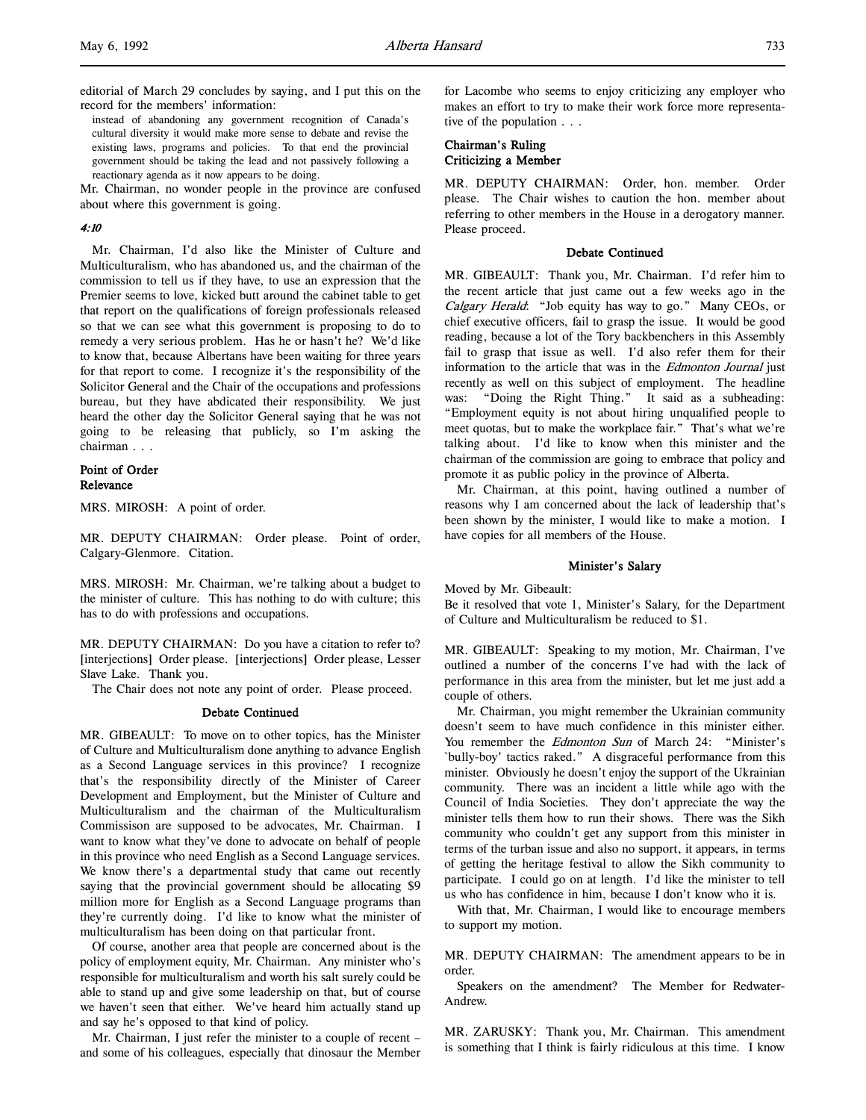editorial of March 29 concludes by saying, and I put this on the record for the members' information:

instead of abandoning any government recognition of Canada's cultural diversity it would make more sense to debate and revise the existing laws, programs and policies. To that end the provincial government should be taking the lead and not passively following a reactionary agenda as it now appears to be doing.

Mr. Chairman, no wonder people in the province are confused about where this government is going.

#### 4:10

Mr. Chairman, I'd also like the Minister of Culture and Multiculturalism, who has abandoned us, and the chairman of the commission to tell us if they have, to use an expression that the Premier seems to love, kicked butt around the cabinet table to get that report on the qualifications of foreign professionals released so that we can see what this government is proposing to do to remedy a very serious problem. Has he or hasn't he? We'd like to know that, because Albertans have been waiting for three years for that report to come. I recognize it's the responsibility of the Solicitor General and the Chair of the occupations and professions bureau, but they have abdicated their responsibility. We just heard the other day the Solicitor General saying that he was not going to be releasing that publicly, so I'm asking the chairman . . .

## Point of Order Relevance

MRS. MIROSH: A point of order.

MR. DEPUTY CHAIRMAN: Order please. Point of order, Calgary-Glenmore. Citation.

MRS. MIROSH: Mr. Chairman, we're talking about a budget to the minister of culture. This has nothing to do with culture; this has to do with professions and occupations.

MR. DEPUTY CHAIRMAN: Do you have a citation to refer to? [interjections] Order please. [interjections] Order please, Lesser Slave Lake. Thank you.

The Chair does not note any point of order. Please proceed.

#### Debate Continued

MR. GIBEAULT: To move on to other topics, has the Minister of Culture and Multiculturalism done anything to advance English as a Second Language services in this province? I recognize that's the responsibility directly of the Minister of Career Development and Employment, but the Minister of Culture and Multiculturalism and the chairman of the Multiculturalism Commissison are supposed to be advocates, Mr. Chairman. I want to know what they've done to advocate on behalf of people in this province who need English as a Second Language services. We know there's a departmental study that came out recently saying that the provincial government should be allocating \$9 million more for English as a Second Language programs than they're currently doing. I'd like to know what the minister of multiculturalism has been doing on that particular front.

Of course, another area that people are concerned about is the policy of employment equity, Mr. Chairman. Any minister who's responsible for multiculturalism and worth his salt surely could be able to stand up and give some leadership on that, but of course we haven't seen that either. We've heard him actually stand up and say he's opposed to that kind of policy.

Mr. Chairman, I just refer the minister to a couple of recent – and some of his colleagues, especially that dinosaur the Member for Lacombe who seems to enjoy criticizing any employer who makes an effort to try to make their work force more representative of the population . . .

## Chairman's Ruling Criticizing a Member

MR. DEPUTY CHAIRMAN: Order, hon. member. Order please. The Chair wishes to caution the hon. member about referring to other members in the House in a derogatory manner. Please proceed.

#### Debate Continued

MR. GIBEAULT: Thank you, Mr. Chairman. I'd refer him to the recent article that just came out a few weeks ago in the Calgary Herald: "Job equity has way to go." Many CEOs, or chief executive officers, fail to grasp the issue. It would be good reading, because a lot of the Tory backbenchers in this Assembly fail to grasp that issue as well. I'd also refer them for their information to the article that was in the Edmonton Journal just recently as well on this subject of employment. The headline was: "Doing the Right Thing." It said as a subheading: "Employment equity is not about hiring unqualified people to meet quotas, but to make the workplace fair." That's what we're talking about. I'd like to know when this minister and the chairman of the commission are going to embrace that policy and promote it as public policy in the province of Alberta.

Mr. Chairman, at this point, having outlined a number of reasons why I am concerned about the lack of leadership that's been shown by the minister, I would like to make a motion. I have copies for all members of the House.

# Minister's Salary

Moved by Mr. Gibeault:

Be it resolved that vote 1, Minister's Salary, for the Department of Culture and Multiculturalism be reduced to \$1.

MR. GIBEAULT: Speaking to my motion, Mr. Chairman, I've outlined a number of the concerns I've had with the lack of performance in this area from the minister, but let me just add a couple of others.

Mr. Chairman, you might remember the Ukrainian community doesn't seem to have much confidence in this minister either. You remember the *Edmonton Sun* of March 24: "Minister's `bully-boy' tactics raked." A disgraceful performance from this minister. Obviously he doesn't enjoy the support of the Ukrainian community. There was an incident a little while ago with the Council of India Societies. They don't appreciate the way the minister tells them how to run their shows. There was the Sikh community who couldn't get any support from this minister in terms of the turban issue and also no support, it appears, in terms of getting the heritage festival to allow the Sikh community to participate. I could go on at length. I'd like the minister to tell us who has confidence in him, because I don't know who it is.

With that, Mr. Chairman, I would like to encourage members to support my motion.

MR. DEPUTY CHAIRMAN: The amendment appears to be in order.

Speakers on the amendment? The Member for Redwater-Andrew.

MR. ZARUSKY: Thank you, Mr. Chairman. This amendment is something that I think is fairly ridiculous at this time. I know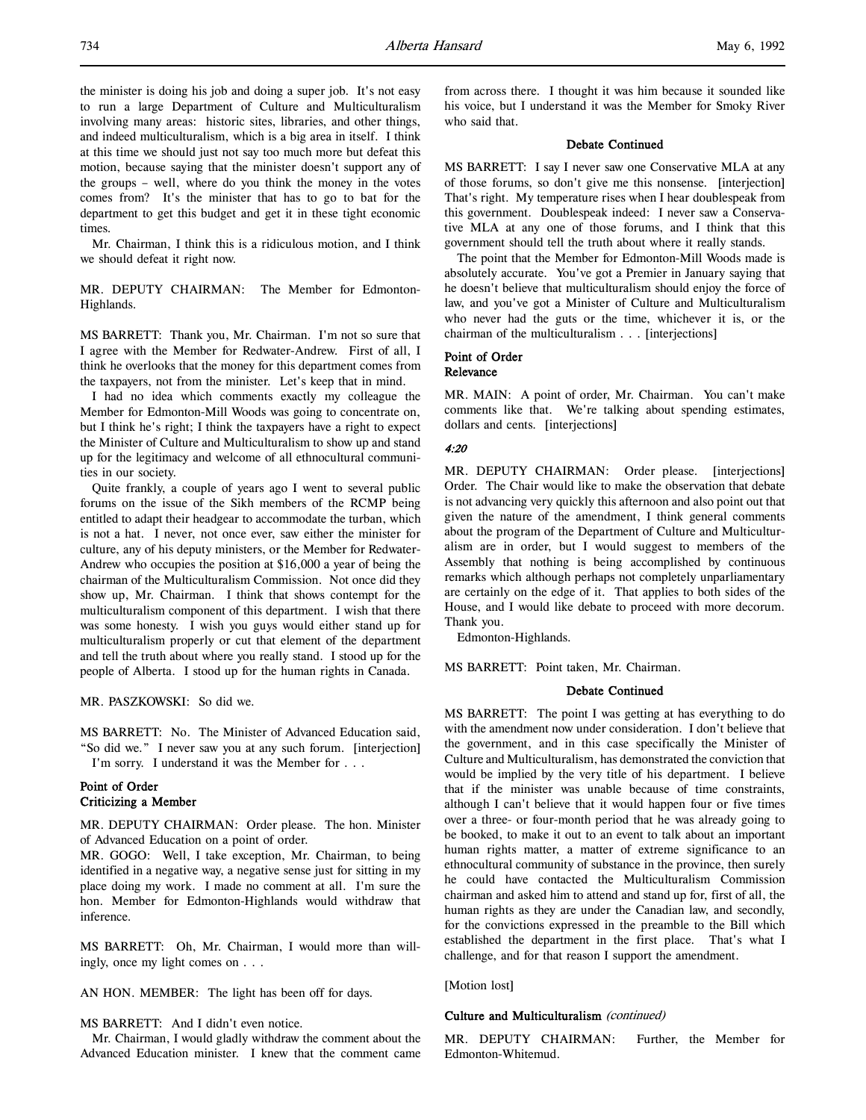the minister is doing his job and doing a super job. It's not easy to run a large Department of Culture and Multiculturalism involving many areas: historic sites, libraries, and other things, and indeed multiculturalism, which is a big area in itself. I think at this time we should just not say too much more but defeat this motion, because saying that the minister doesn't support any of the groups – well, where do you think the money in the votes comes from? It's the minister that has to go to bat for the department to get this budget and get it in these tight economic times.

Mr. Chairman, I think this is a ridiculous motion, and I think we should defeat it right now.

MR. DEPUTY CHAIRMAN: The Member for Edmonton-Highlands.

MS BARRETT: Thank you, Mr. Chairman. I'm not so sure that I agree with the Member for Redwater-Andrew. First of all, I think he overlooks that the money for this department comes from the taxpayers, not from the minister. Let's keep that in mind.

I had no idea which comments exactly my colleague the Member for Edmonton-Mill Woods was going to concentrate on, but I think he's right; I think the taxpayers have a right to expect the Minister of Culture and Multiculturalism to show up and stand up for the legitimacy and welcome of all ethnocultural communities in our society.

Quite frankly, a couple of years ago I went to several public forums on the issue of the Sikh members of the RCMP being entitled to adapt their headgear to accommodate the turban, which is not a hat. I never, not once ever, saw either the minister for culture, any of his deputy ministers, or the Member for Redwater-Andrew who occupies the position at \$16,000 a year of being the chairman of the Multiculturalism Commission. Not once did they show up, Mr. Chairman. I think that shows contempt for the multiculturalism component of this department. I wish that there was some honesty. I wish you guys would either stand up for multiculturalism properly or cut that element of the department and tell the truth about where you really stand. I stood up for the people of Alberta. I stood up for the human rights in Canada.

MR. PASZKOWSKI: So did we.

MS BARRETT: No. The Minister of Advanced Education said, "So did we." I never saw you at any such forum. [interjection] I'm sorry. I understand it was the Member for . . .

# Point of Order Criticizing a Member

MR. DEPUTY CHAIRMAN: Order please. The hon. Minister of Advanced Education on a point of order.

MR. GOGO: Well, I take exception, Mr. Chairman, to being identified in a negative way, a negative sense just for sitting in my place doing my work. I made no comment at all. I'm sure the hon. Member for Edmonton-Highlands would withdraw that inference.

MS BARRETT: Oh, Mr. Chairman, I would more than willingly, once my light comes on . . .

AN HON. MEMBER: The light has been off for days.

#### MS BARRETT: And I didn't even notice.

Mr. Chairman, I would gladly withdraw the comment about the Advanced Education minister. I knew that the comment came from across there. I thought it was him because it sounded like his voice, but I understand it was the Member for Smoky River who said that.

#### Debate Continued

MS BARRETT: I say I never saw one Conservative MLA at any of those forums, so don't give me this nonsense. [interjection] That's right. My temperature rises when I hear doublespeak from this government. Doublespeak indeed: I never saw a Conservative MLA at any one of those forums, and I think that this government should tell the truth about where it really stands.

The point that the Member for Edmonton-Mill Woods made is absolutely accurate. You've got a Premier in January saying that he doesn't believe that multiculturalism should enjoy the force of law, and you've got a Minister of Culture and Multiculturalism who never had the guts or the time, whichever it is, or the chairman of the multiculturalism . . . [interjections]

#### Point of Order Relevance

MR. MAIN: A point of order, Mr. Chairman. You can't make comments like that. We're talking about spending estimates, dollars and cents. [interjections]

#### 4:20

MR. DEPUTY CHAIRMAN: Order please. [interjections] Order. The Chair would like to make the observation that debate is not advancing very quickly this afternoon and also point out that given the nature of the amendment, I think general comments about the program of the Department of Culture and Multiculturalism are in order, but I would suggest to members of the Assembly that nothing is being accomplished by continuous remarks which although perhaps not completely unparliamentary are certainly on the edge of it. That applies to both sides of the House, and I would like debate to proceed with more decorum. Thank you.

Edmonton-Highlands.

MS BARRETT: Point taken, Mr. Chairman.

# Debate Continued

MS BARRETT: The point I was getting at has everything to do with the amendment now under consideration. I don't believe that the government, and in this case specifically the Minister of Culture and Multiculturalism, has demonstrated the conviction that would be implied by the very title of his department. I believe that if the minister was unable because of time constraints, although I can't believe that it would happen four or five times over a three- or four-month period that he was already going to be booked, to make it out to an event to talk about an important human rights matter, a matter of extreme significance to an ethnocultural community of substance in the province, then surely he could have contacted the Multiculturalism Commission chairman and asked him to attend and stand up for, first of all, the human rights as they are under the Canadian law, and secondly, for the convictions expressed in the preamble to the Bill which established the department in the first place. That's what I challenge, and for that reason I support the amendment.

[Motion lost]

#### Culture and Multiculturalism (continued)

MR. DEPUTY CHAIRMAN: Further, the Member for Edmonton-Whitemud.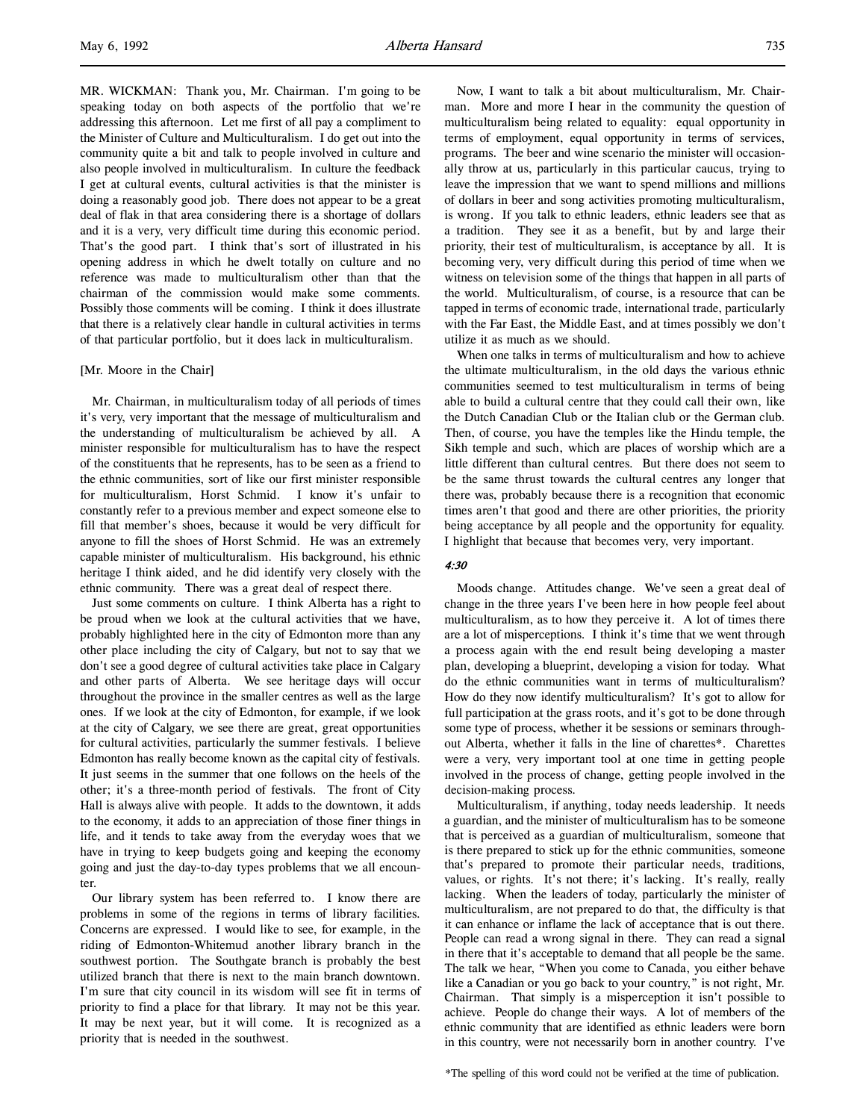MR. WICKMAN: Thank you, Mr. Chairman. I'm going to be speaking today on both aspects of the portfolio that we're addressing this afternoon. Let me first of all pay a compliment to the Minister of Culture and Multiculturalism. I do get out into the community quite a bit and talk to people involved in culture and also people involved in multiculturalism. In culture the feedback I get at cultural events, cultural activities is that the minister is doing a reasonably good job. There does not appear to be a great deal of flak in that area considering there is a shortage of dollars and it is a very, very difficult time during this economic period. That's the good part. I think that's sort of illustrated in his opening address in which he dwelt totally on culture and no reference was made to multiculturalism other than that the chairman of the commission would make some comments. Possibly those comments will be coming. I think it does illustrate that there is a relatively clear handle in cultural activities in terms of that particular portfolio, but it does lack in multiculturalism.

## [Mr. Moore in the Chair]

Mr. Chairman, in multiculturalism today of all periods of times it's very, very important that the message of multiculturalism and the understanding of multiculturalism be achieved by all. A minister responsible for multiculturalism has to have the respect of the constituents that he represents, has to be seen as a friend to the ethnic communities, sort of like our first minister responsible for multiculturalism, Horst Schmid. I know it's unfair to constantly refer to a previous member and expect someone else to fill that member's shoes, because it would be very difficult for anyone to fill the shoes of Horst Schmid. He was an extremely capable minister of multiculturalism. His background, his ethnic heritage I think aided, and he did identify very closely with the ethnic community. There was a great deal of respect there.

Just some comments on culture. I think Alberta has a right to be proud when we look at the cultural activities that we have, probably highlighted here in the city of Edmonton more than any other place including the city of Calgary, but not to say that we don't see a good degree of cultural activities take place in Calgary and other parts of Alberta. We see heritage days will occur throughout the province in the smaller centres as well as the large ones. If we look at the city of Edmonton, for example, if we look at the city of Calgary, we see there are great, great opportunities for cultural activities, particularly the summer festivals. I believe Edmonton has really become known as the capital city of festivals. It just seems in the summer that one follows on the heels of the other; it's a three-month period of festivals. The front of City Hall is always alive with people. It adds to the downtown, it adds to the economy, it adds to an appreciation of those finer things in life, and it tends to take away from the everyday woes that we have in trying to keep budgets going and keeping the economy going and just the day-to-day types problems that we all encounter.

Our library system has been referred to. I know there are problems in some of the regions in terms of library facilities. Concerns are expressed. I would like to see, for example, in the riding of Edmonton-Whitemud another library branch in the southwest portion. The Southgate branch is probably the best utilized branch that there is next to the main branch downtown. I'm sure that city council in its wisdom will see fit in terms of priority to find a place for that library. It may not be this year. It may be next year, but it will come. It is recognized as a priority that is needed in the southwest.

Now, I want to talk a bit about multiculturalism, Mr. Chairman. More and more I hear in the community the question of multiculturalism being related to equality: equal opportunity in terms of employment, equal opportunity in terms of services, programs. The beer and wine scenario the minister will occasionally throw at us, particularly in this particular caucus, trying to leave the impression that we want to spend millions and millions of dollars in beer and song activities promoting multiculturalism, is wrong. If you talk to ethnic leaders, ethnic leaders see that as a tradition. They see it as a benefit, but by and large their priority, their test of multiculturalism, is acceptance by all. It is becoming very, very difficult during this period of time when we witness on television some of the things that happen in all parts of the world. Multiculturalism, of course, is a resource that can be tapped in terms of economic trade, international trade, particularly with the Far East, the Middle East, and at times possibly we don't utilize it as much as we should.

When one talks in terms of multiculturalism and how to achieve the ultimate multiculturalism, in the old days the various ethnic communities seemed to test multiculturalism in terms of being able to build a cultural centre that they could call their own, like the Dutch Canadian Club or the Italian club or the German club. Then, of course, you have the temples like the Hindu temple, the Sikh temple and such, which are places of worship which are a little different than cultural centres. But there does not seem to be the same thrust towards the cultural centres any longer that there was, probably because there is a recognition that economic times aren't that good and there are other priorities, the priority being acceptance by all people and the opportunity for equality. I highlight that because that becomes very, very important.

# $4.30$

Moods change. Attitudes change. We've seen a great deal of change in the three years I've been here in how people feel about multiculturalism, as to how they perceive it. A lot of times there are a lot of misperceptions. I think it's time that we went through a process again with the end result being developing a master plan, developing a blueprint, developing a vision for today. What do the ethnic communities want in terms of multiculturalism? How do they now identify multiculturalism? It's got to allow for full participation at the grass roots, and it's got to be done through some type of process, whether it be sessions or seminars throughout Alberta, whether it falls in the line of charettes\*. Charettes were a very, very important tool at one time in getting people involved in the process of change, getting people involved in the decision-making process.

Multiculturalism, if anything, today needs leadership. It needs a guardian, and the minister of multiculturalism has to be someone that is perceived as a guardian of multiculturalism, someone that is there prepared to stick up for the ethnic communities, someone that's prepared to promote their particular needs, traditions, values, or rights. It's not there; it's lacking. It's really, really lacking. When the leaders of today, particularly the minister of multiculturalism, are not prepared to do that, the difficulty is that it can enhance or inflame the lack of acceptance that is out there. People can read a wrong signal in there. They can read a signal in there that it's acceptable to demand that all people be the same. The talk we hear, "When you come to Canada, you either behave like a Canadian or you go back to your country," is not right, Mr. Chairman. That simply is a misperception it isn't possible to achieve. People do change their ways. A lot of members of the ethnic community that are identified as ethnic leaders were born in this country, were not necessarily born in another country. I've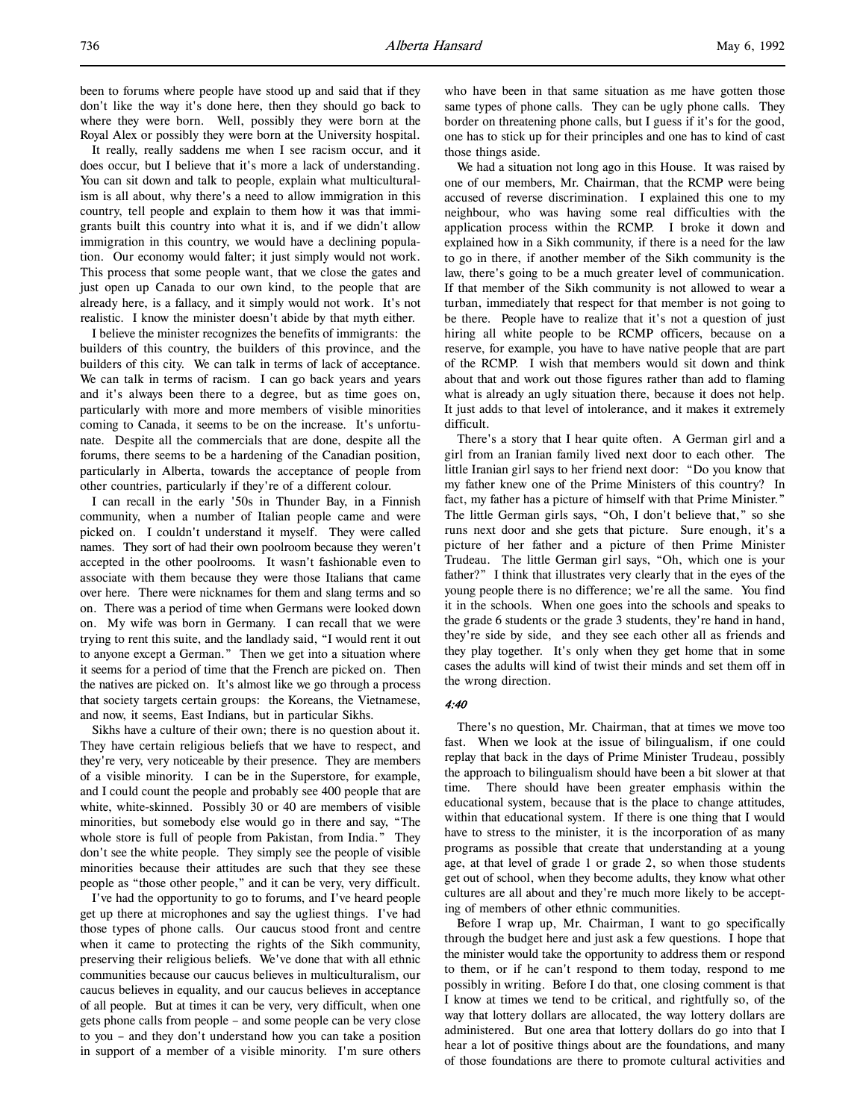been to forums where people have stood up and said that if they don't like the way it's done here, then they should go back to where they were born. Well, possibly they were born at the Royal Alex or possibly they were born at the University hospital.

It really, really saddens me when I see racism occur, and it does occur, but I believe that it's more a lack of understanding. You can sit down and talk to people, explain what multiculturalism is all about, why there's a need to allow immigration in this country, tell people and explain to them how it was that immigrants built this country into what it is, and if we didn't allow immigration in this country, we would have a declining population. Our economy would falter; it just simply would not work. This process that some people want, that we close the gates and just open up Canada to our own kind, to the people that are already here, is a fallacy, and it simply would not work. It's not realistic. I know the minister doesn't abide by that myth either.

I believe the minister recognizes the benefits of immigrants: the builders of this country, the builders of this province, and the builders of this city. We can talk in terms of lack of acceptance. We can talk in terms of racism. I can go back years and years and it's always been there to a degree, but as time goes on, particularly with more and more members of visible minorities coming to Canada, it seems to be on the increase. It's unfortunate. Despite all the commercials that are done, despite all the forums, there seems to be a hardening of the Canadian position, particularly in Alberta, towards the acceptance of people from other countries, particularly if they're of a different colour.

I can recall in the early '50s in Thunder Bay, in a Finnish community, when a number of Italian people came and were picked on. I couldn't understand it myself. They were called names. They sort of had their own poolroom because they weren't accepted in the other poolrooms. It wasn't fashionable even to associate with them because they were those Italians that came over here. There were nicknames for them and slang terms and so on. There was a period of time when Germans were looked down on. My wife was born in Germany. I can recall that we were trying to rent this suite, and the landlady said, "I would rent it out to anyone except a German." Then we get into a situation where it seems for a period of time that the French are picked on. Then the natives are picked on. It's almost like we go through a process that society targets certain groups: the Koreans, the Vietnamese, and now, it seems, East Indians, but in particular Sikhs.

Sikhs have a culture of their own; there is no question about it. They have certain religious beliefs that we have to respect, and they're very, very noticeable by their presence. They are members of a visible minority. I can be in the Superstore, for example, and I could count the people and probably see 400 people that are white, white-skinned. Possibly 30 or 40 are members of visible minorities, but somebody else would go in there and say, "The whole store is full of people from Pakistan, from India." They don't see the white people. They simply see the people of visible minorities because their attitudes are such that they see these people as "those other people," and it can be very, very difficult.

I've had the opportunity to go to forums, and I've heard people get up there at microphones and say the ugliest things. I've had those types of phone calls. Our caucus stood front and centre when it came to protecting the rights of the Sikh community, preserving their religious beliefs. We've done that with all ethnic communities because our caucus believes in multiculturalism, our caucus believes in equality, and our caucus believes in acceptance of all people. But at times it can be very, very difficult, when one gets phone calls from people – and some people can be very close to you – and they don't understand how you can take a position in support of a member of a visible minority. I'm sure others

who have been in that same situation as me have gotten those same types of phone calls. They can be ugly phone calls. They border on threatening phone calls, but I guess if it's for the good, one has to stick up for their principles and one has to kind of cast those things aside.

We had a situation not long ago in this House. It was raised by one of our members, Mr. Chairman, that the RCMP were being accused of reverse discrimination. I explained this one to my neighbour, who was having some real difficulties with the application process within the RCMP. I broke it down and explained how in a Sikh community, if there is a need for the law to go in there, if another member of the Sikh community is the law, there's going to be a much greater level of communication. If that member of the Sikh community is not allowed to wear a turban, immediately that respect for that member is not going to be there. People have to realize that it's not a question of just hiring all white people to be RCMP officers, because on a reserve, for example, you have to have native people that are part of the RCMP. I wish that members would sit down and think about that and work out those figures rather than add to flaming what is already an ugly situation there, because it does not help. It just adds to that level of intolerance, and it makes it extremely difficult.

There's a story that I hear quite often. A German girl and a girl from an Iranian family lived next door to each other. The little Iranian girl says to her friend next door: "Do you know that my father knew one of the Prime Ministers of this country? In fact, my father has a picture of himself with that Prime Minister." The little German girls says, "Oh, I don't believe that," so she runs next door and she gets that picture. Sure enough, it's a picture of her father and a picture of then Prime Minister Trudeau. The little German girl says, "Oh, which one is your father?" I think that illustrates very clearly that in the eyes of the young people there is no difference; we're all the same. You find it in the schools. When one goes into the schools and speaks to the grade 6 students or the grade 3 students, they're hand in hand, they're side by side, and they see each other all as friends and they play together. It's only when they get home that in some cases the adults will kind of twist their minds and set them off in the wrong direction.

#### 4:40

There's no question, Mr. Chairman, that at times we move too fast. When we look at the issue of bilingualism, if one could replay that back in the days of Prime Minister Trudeau, possibly the approach to bilingualism should have been a bit slower at that time. There should have been greater emphasis within the educational system, because that is the place to change attitudes, within that educational system. If there is one thing that I would have to stress to the minister, it is the incorporation of as many programs as possible that create that understanding at a young age, at that level of grade 1 or grade 2, so when those students get out of school, when they become adults, they know what other cultures are all about and they're much more likely to be accepting of members of other ethnic communities.

Before I wrap up, Mr. Chairman, I want to go specifically through the budget here and just ask a few questions. I hope that the minister would take the opportunity to address them or respond to them, or if he can't respond to them today, respond to me possibly in writing. Before I do that, one closing comment is that I know at times we tend to be critical, and rightfully so, of the way that lottery dollars are allocated, the way lottery dollars are administered. But one area that lottery dollars do go into that I hear a lot of positive things about are the foundations, and many of those foundations are there to promote cultural activities and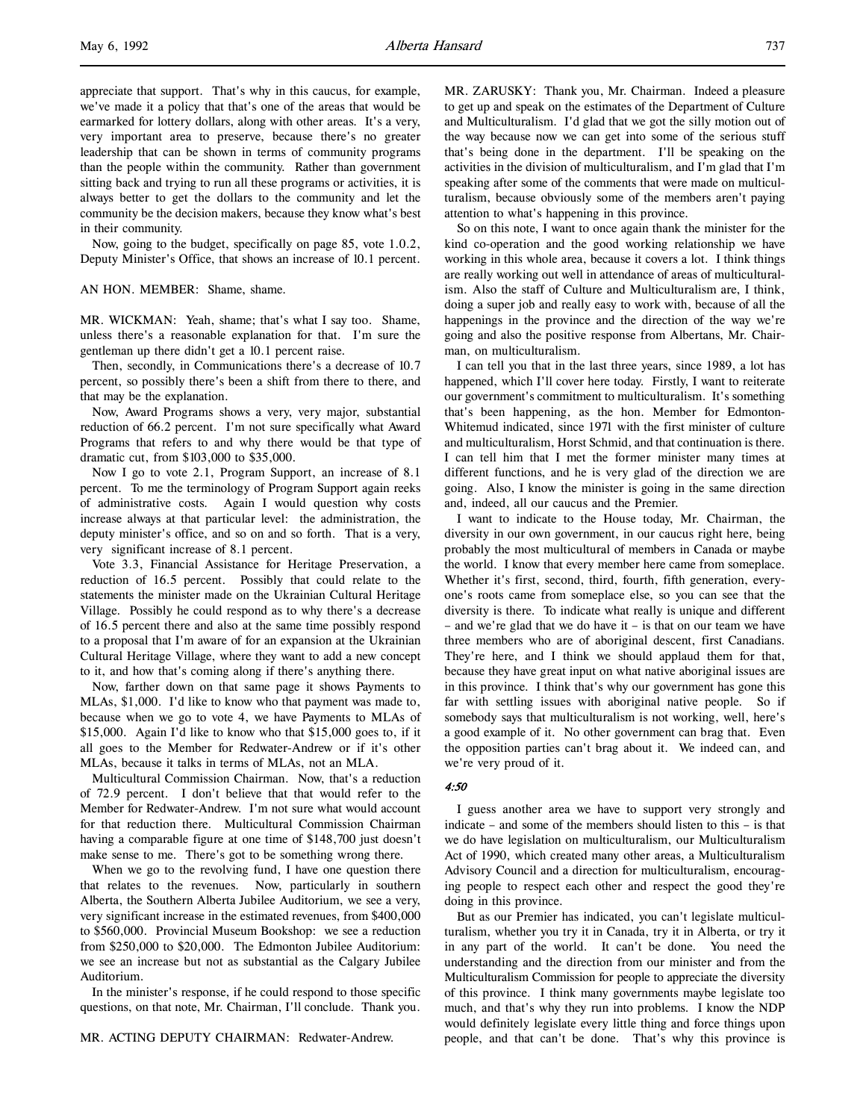appreciate that support. That's why in this caucus, for example, we've made it a policy that that's one of the areas that would be earmarked for lottery dollars, along with other areas. It's a very, very important area to preserve, because there's no greater leadership that can be shown in terms of community programs than the people within the community. Rather than government sitting back and trying to run all these programs or activities, it is always better to get the dollars to the community and let the community be the decision makers, because they know what's best in their community.

Now, going to the budget, specifically on page 85, vote 1.0.2, Deputy Minister's Office, that shows an increase of 10.1 percent.

### AN HON. MEMBER: Shame, shame.

MR. WICKMAN: Yeah, shame; that's what I say too. Shame, unless there's a reasonable explanation for that. I'm sure the gentleman up there didn't get a 10.1 percent raise.

Then, secondly, in Communications there's a decrease of 10.7 percent, so possibly there's been a shift from there to there, and that may be the explanation.

Now, Award Programs shows a very, very major, substantial reduction of 66.2 percent. I'm not sure specifically what Award Programs that refers to and why there would be that type of dramatic cut, from \$103,000 to \$35,000.

Now I go to vote 2.1, Program Support, an increase of 8.1 percent. To me the terminology of Program Support again reeks of administrative costs. Again I would question why costs increase always at that particular level: the administration, the deputy minister's office, and so on and so forth. That is a very, very significant increase of 8.1 percent.

Vote 3.3, Financial Assistance for Heritage Preservation, a reduction of 16.5 percent. Possibly that could relate to the statements the minister made on the Ukrainian Cultural Heritage Village. Possibly he could respond as to why there's a decrease of 16.5 percent there and also at the same time possibly respond to a proposal that I'm aware of for an expansion at the Ukrainian Cultural Heritage Village, where they want to add a new concept to it, and how that's coming along if there's anything there.

Now, farther down on that same page it shows Payments to MLAs, \$1,000. I'd like to know who that payment was made to, because when we go to vote 4, we have Payments to MLAs of \$15,000. Again I'd like to know who that \$15,000 goes to, if it all goes to the Member for Redwater-Andrew or if it's other MLAs, because it talks in terms of MLAs, not an MLA.

Multicultural Commission Chairman. Now, that's a reduction of 72.9 percent. I don't believe that that would refer to the Member for Redwater-Andrew. I'm not sure what would account for that reduction there. Multicultural Commission Chairman having a comparable figure at one time of \$148,700 just doesn't make sense to me. There's got to be something wrong there.

When we go to the revolving fund, I have one question there that relates to the revenues. Now, particularly in southern Alberta, the Southern Alberta Jubilee Auditorium, we see a very, very significant increase in the estimated revenues, from \$400,000 to \$560,000. Provincial Museum Bookshop: we see a reduction from \$250,000 to \$20,000. The Edmonton Jubilee Auditorium: we see an increase but not as substantial as the Calgary Jubilee Auditorium.

In the minister's response, if he could respond to those specific questions, on that note, Mr. Chairman, I'll conclude. Thank you.

MR. ACTING DEPUTY CHAIRMAN: Redwater-Andrew.

MR. ZARUSKY: Thank you, Mr. Chairman. Indeed a pleasure to get up and speak on the estimates of the Department of Culture and Multiculturalism. I'd glad that we got the silly motion out of the way because now we can get into some of the serious stuff that's being done in the department. I'll be speaking on the activities in the division of multiculturalism, and I'm glad that I'm speaking after some of the comments that were made on multiculturalism, because obviously some of the members aren't paying attention to what's happening in this province.

So on this note, I want to once again thank the minister for the kind co-operation and the good working relationship we have working in this whole area, because it covers a lot. I think things are really working out well in attendance of areas of multiculturalism. Also the staff of Culture and Multiculturalism are, I think, doing a super job and really easy to work with, because of all the happenings in the province and the direction of the way we're going and also the positive response from Albertans, Mr. Chairman, on multiculturalism.

I can tell you that in the last three years, since 1989, a lot has happened, which I'll cover here today. Firstly, I want to reiterate our government's commitment to multiculturalism. It's something that's been happening, as the hon. Member for Edmonton-Whitemud indicated, since 1971 with the first minister of culture and multiculturalism, Horst Schmid, and that continuation is there. I can tell him that I met the former minister many times at different functions, and he is very glad of the direction we are going. Also, I know the minister is going in the same direction and, indeed, all our caucus and the Premier.

I want to indicate to the House today, Mr. Chairman, the diversity in our own government, in our caucus right here, being probably the most multicultural of members in Canada or maybe the world. I know that every member here came from someplace. Whether it's first, second, third, fourth, fifth generation, everyone's roots came from someplace else, so you can see that the diversity is there. To indicate what really is unique and different – and we're glad that we do have it – is that on our team we have three members who are of aboriginal descent, first Canadians. They're here, and I think we should applaud them for that, because they have great input on what native aboriginal issues are in this province. I think that's why our government has gone this far with settling issues with aboriginal native people. So if somebody says that multiculturalism is not working, well, here's a good example of it. No other government can brag that. Even the opposition parties can't brag about it. We indeed can, and we're very proud of it.

#### 4:50

I guess another area we have to support very strongly and indicate – and some of the members should listen to this – is that we do have legislation on multiculturalism, our Multiculturalism Act of 1990, which created many other areas, a Multiculturalism Advisory Council and a direction for multiculturalism, encouraging people to respect each other and respect the good they're doing in this province.

But as our Premier has indicated, you can't legislate multiculturalism, whether you try it in Canada, try it in Alberta, or try it in any part of the world. It can't be done. You need the understanding and the direction from our minister and from the Multiculturalism Commission for people to appreciate the diversity of this province. I think many governments maybe legislate too much, and that's why they run into problems. I know the NDP would definitely legislate every little thing and force things upon people, and that can't be done. That's why this province is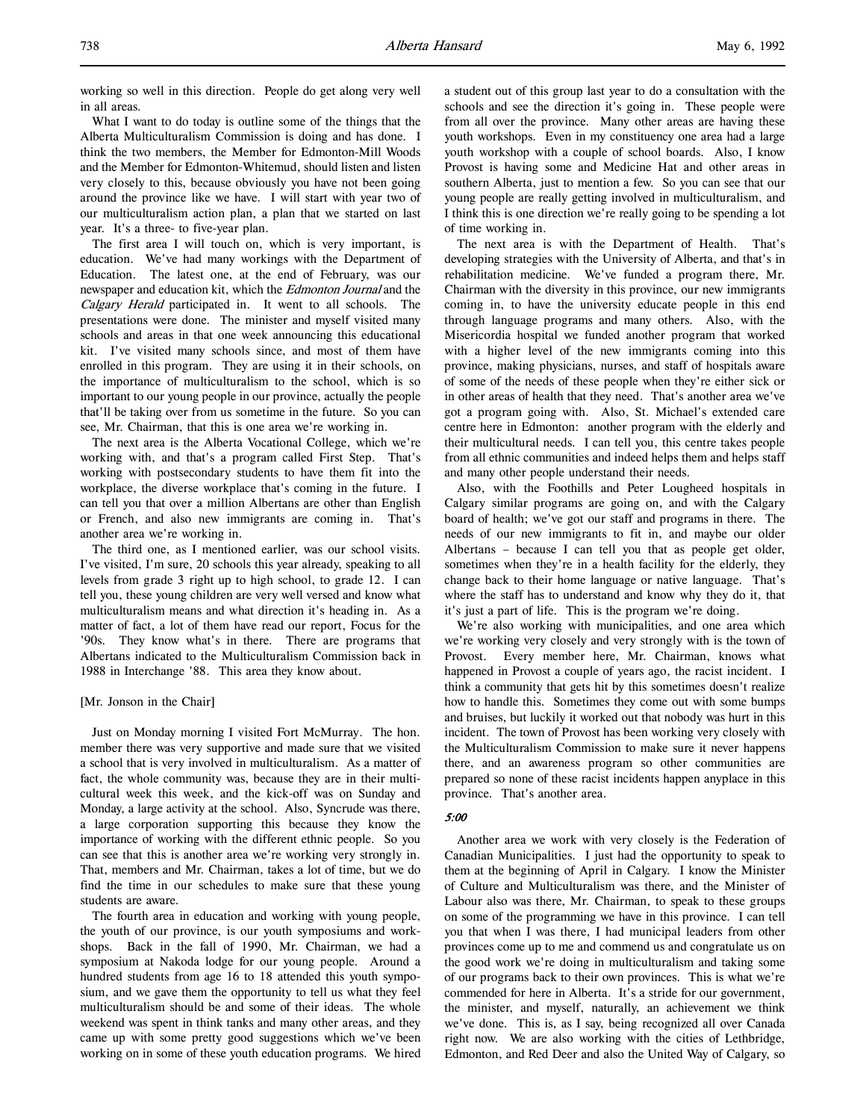working so well in this direction. People do get along very well in all areas.

What I want to do today is outline some of the things that the Alberta Multiculturalism Commission is doing and has done. I think the two members, the Member for Edmonton-Mill Woods and the Member for Edmonton-Whitemud, should listen and listen very closely to this, because obviously you have not been going around the province like we have. I will start with year two of our multiculturalism action plan, a plan that we started on last year. It's a three- to five-year plan.

The first area I will touch on, which is very important, is education. We've had many workings with the Department of Education. The latest one, at the end of February, was our newspaper and education kit, which the *Edmonton Journal* and the Calgary Herald participated in. It went to all schools. The presentations were done. The minister and myself visited many schools and areas in that one week announcing this educational kit. I've visited many schools since, and most of them have enrolled in this program. They are using it in their schools, on the importance of multiculturalism to the school, which is so important to our young people in our province, actually the people that'll be taking over from us sometime in the future. So you can see, Mr. Chairman, that this is one area we're working in.

The next area is the Alberta Vocational College, which we're working with, and that's a program called First Step. That's working with postsecondary students to have them fit into the workplace, the diverse workplace that's coming in the future. I can tell you that over a million Albertans are other than English or French, and also new immigrants are coming in. That's another area we're working in.

The third one, as I mentioned earlier, was our school visits. I've visited, I'm sure, 20 schools this year already, speaking to all levels from grade 3 right up to high school, to grade 12. I can tell you, these young children are very well versed and know what multiculturalism means and what direction it's heading in. As a matter of fact, a lot of them have read our report, Focus for the '90s. They know what's in there. There are programs that Albertans indicated to the Multiculturalism Commission back in 1988 in Interchange '88. This area they know about.

### [Mr. Jonson in the Chair]

Just on Monday morning I visited Fort McMurray. The hon. member there was very supportive and made sure that we visited a school that is very involved in multiculturalism. As a matter of fact, the whole community was, because they are in their multicultural week this week, and the kick-off was on Sunday and Monday, a large activity at the school. Also, Syncrude was there, a large corporation supporting this because they know the importance of working with the different ethnic people. So you can see that this is another area we're working very strongly in. That, members and Mr. Chairman, takes a lot of time, but we do find the time in our schedules to make sure that these young students are aware.

The fourth area in education and working with young people, the youth of our province, is our youth symposiums and workshops. Back in the fall of 1990, Mr. Chairman, we had a symposium at Nakoda lodge for our young people. Around a hundred students from age 16 to 18 attended this youth symposium, and we gave them the opportunity to tell us what they feel multiculturalism should be and some of their ideas. The whole weekend was spent in think tanks and many other areas, and they came up with some pretty good suggestions which we've been working on in some of these youth education programs. We hired

a student out of this group last year to do a consultation with the schools and see the direction it's going in. These people were from all over the province. Many other areas are having these youth workshops. Even in my constituency one area had a large youth workshop with a couple of school boards. Also, I know Provost is having some and Medicine Hat and other areas in southern Alberta, just to mention a few. So you can see that our young people are really getting involved in multiculturalism, and I think this is one direction we're really going to be spending a lot of time working in.

The next area is with the Department of Health. That's developing strategies with the University of Alberta, and that's in rehabilitation medicine. We've funded a program there, Mr. Chairman with the diversity in this province, our new immigrants coming in, to have the university educate people in this end through language programs and many others. Also, with the Misericordia hospital we funded another program that worked with a higher level of the new immigrants coming into this province, making physicians, nurses, and staff of hospitals aware of some of the needs of these people when they're either sick or in other areas of health that they need. That's another area we've got a program going with. Also, St. Michael's extended care centre here in Edmonton: another program with the elderly and their multicultural needs. I can tell you, this centre takes people from all ethnic communities and indeed helps them and helps staff and many other people understand their needs.

Also, with the Foothills and Peter Lougheed hospitals in Calgary similar programs are going on, and with the Calgary board of health; we've got our staff and programs in there. The needs of our new immigrants to fit in, and maybe our older Albertans – because I can tell you that as people get older, sometimes when they're in a health facility for the elderly, they change back to their home language or native language. That's where the staff has to understand and know why they do it, that it's just a part of life. This is the program we're doing.

We're also working with municipalities, and one area which we're working very closely and very strongly with is the town of Provost. Every member here, Mr. Chairman, knows what happened in Provost a couple of years ago, the racist incident. I think a community that gets hit by this sometimes doesn't realize how to handle this. Sometimes they come out with some bumps and bruises, but luckily it worked out that nobody was hurt in this incident. The town of Provost has been working very closely with the Multiculturalism Commission to make sure it never happens there, and an awareness program so other communities are prepared so none of these racist incidents happen anyplace in this province. That's another area.

## 5:00

Another area we work with very closely is the Federation of Canadian Municipalities. I just had the opportunity to speak to them at the beginning of April in Calgary. I know the Minister of Culture and Multiculturalism was there, and the Minister of Labour also was there, Mr. Chairman, to speak to these groups on some of the programming we have in this province. I can tell you that when I was there, I had municipal leaders from other provinces come up to me and commend us and congratulate us on the good work we're doing in multiculturalism and taking some of our programs back to their own provinces. This is what we're commended for here in Alberta. It's a stride for our government, the minister, and myself, naturally, an achievement we think we've done. This is, as I say, being recognized all over Canada right now. We are also working with the cities of Lethbridge, Edmonton, and Red Deer and also the United Way of Calgary, so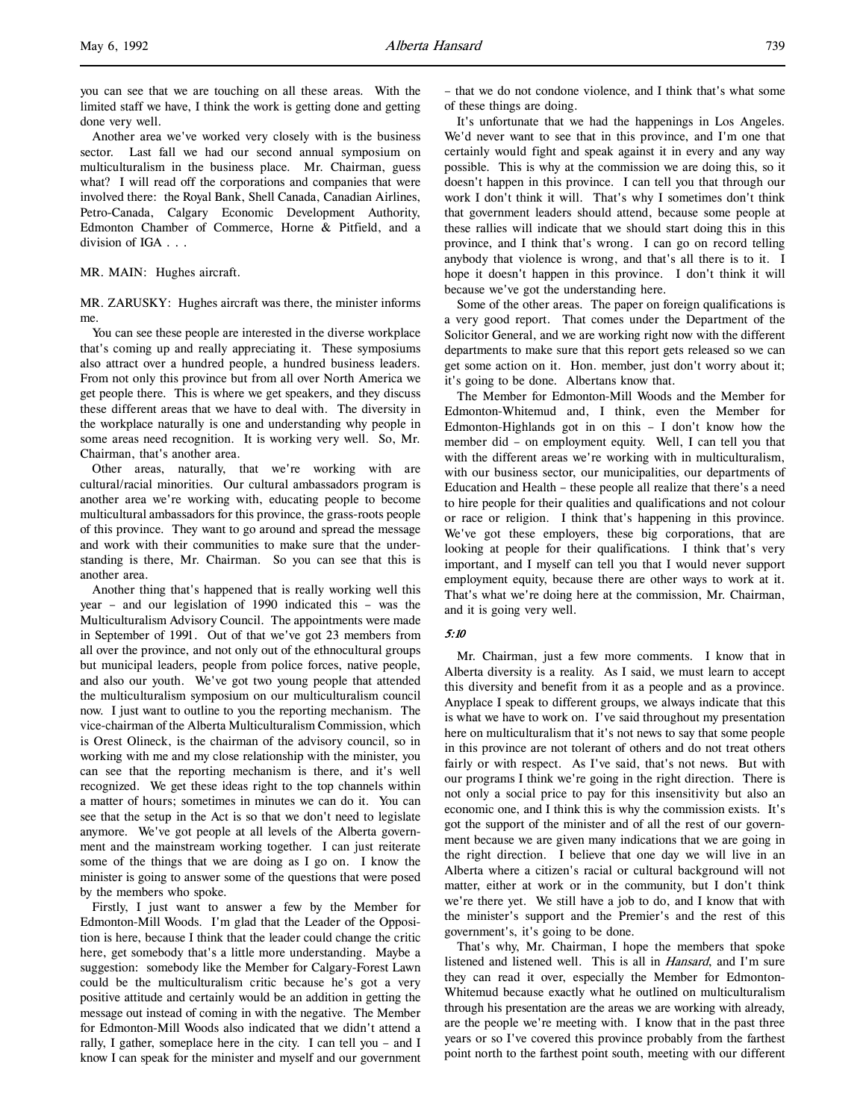you can see that we are touching on all these areas. With the limited staff we have, I think the work is getting done and getting done very well.

Another area we've worked very closely with is the business sector. Last fall we had our second annual symposium on multiculturalism in the business place. Mr. Chairman, guess what? I will read off the corporations and companies that were involved there: the Royal Bank, Shell Canada, Canadian Airlines, Petro-Canada, Calgary Economic Development Authority, Edmonton Chamber of Commerce, Horne & Pitfield, and a division of IGA . . .

MR. MAIN: Hughes aircraft.

MR. ZARUSKY: Hughes aircraft was there, the minister informs me.

You can see these people are interested in the diverse workplace that's coming up and really appreciating it. These symposiums also attract over a hundred people, a hundred business leaders. From not only this province but from all over North America we get people there. This is where we get speakers, and they discuss these different areas that we have to deal with. The diversity in the workplace naturally is one and understanding why people in some areas need recognition. It is working very well. So, Mr. Chairman, that's another area.

Other areas, naturally, that we're working with are cultural/racial minorities. Our cultural ambassadors program is another area we're working with, educating people to become multicultural ambassadors for this province, the grass-roots people of this province. They want to go around and spread the message and work with their communities to make sure that the understanding is there, Mr. Chairman. So you can see that this is another area.

Another thing that's happened that is really working well this year – and our legislation of 1990 indicated this – was the Multiculturalism Advisory Council. The appointments were made in September of 1991. Out of that we've got 23 members from all over the province, and not only out of the ethnocultural groups but municipal leaders, people from police forces, native people, and also our youth. We've got two young people that attended the multiculturalism symposium on our multiculturalism council now. I just want to outline to you the reporting mechanism. The vice-chairman of the Alberta Multiculturalism Commission, which is Orest Olineck, is the chairman of the advisory council, so in working with me and my close relationship with the minister, you can see that the reporting mechanism is there, and it's well recognized. We get these ideas right to the top channels within a matter of hours; sometimes in minutes we can do it. You can see that the setup in the Act is so that we don't need to legislate anymore. We've got people at all levels of the Alberta government and the mainstream working together. I can just reiterate some of the things that we are doing as I go on. I know the minister is going to answer some of the questions that were posed by the members who spoke.

Firstly, I just want to answer a few by the Member for Edmonton-Mill Woods. I'm glad that the Leader of the Opposition is here, because I think that the leader could change the critic here, get somebody that's a little more understanding. Maybe a suggestion: somebody like the Member for Calgary-Forest Lawn could be the multiculturalism critic because he's got a very positive attitude and certainly would be an addition in getting the message out instead of coming in with the negative. The Member for Edmonton-Mill Woods also indicated that we didn't attend a rally, I gather, someplace here in the city. I can tell you – and I know I can speak for the minister and myself and our government

– that we do not condone violence, and I think that's what some of these things are doing.

It's unfortunate that we had the happenings in Los Angeles. We'd never want to see that in this province, and I'm one that certainly would fight and speak against it in every and any way possible. This is why at the commission we are doing this, so it doesn't happen in this province. I can tell you that through our work I don't think it will. That's why I sometimes don't think that government leaders should attend, because some people at these rallies will indicate that we should start doing this in this province, and I think that's wrong. I can go on record telling anybody that violence is wrong, and that's all there is to it. I hope it doesn't happen in this province. I don't think it will because we've got the understanding here.

Some of the other areas. The paper on foreign qualifications is a very good report. That comes under the Department of the Solicitor General, and we are working right now with the different departments to make sure that this report gets released so we can get some action on it. Hon. member, just don't worry about it; it's going to be done. Albertans know that.

The Member for Edmonton-Mill Woods and the Member for Edmonton-Whitemud and, I think, even the Member for Edmonton-Highlands got in on this  $- I$  don't know how the member did – on employment equity. Well, I can tell you that with the different areas we're working with in multiculturalism, with our business sector, our municipalities, our departments of Education and Health – these people all realize that there's a need to hire people for their qualities and qualifications and not colour or race or religion. I think that's happening in this province. We've got these employers, these big corporations, that are looking at people for their qualifications. I think that's very important, and I myself can tell you that I would never support employment equity, because there are other ways to work at it. That's what we're doing here at the commission, Mr. Chairman, and it is going very well.

### 5:10

Mr. Chairman, just a few more comments. I know that in Alberta diversity is a reality. As I said, we must learn to accept this diversity and benefit from it as a people and as a province. Anyplace I speak to different groups, we always indicate that this is what we have to work on. I've said throughout my presentation here on multiculturalism that it's not news to say that some people in this province are not tolerant of others and do not treat others fairly or with respect. As I've said, that's not news. But with our programs I think we're going in the right direction. There is not only a social price to pay for this insensitivity but also an economic one, and I think this is why the commission exists. It's got the support of the minister and of all the rest of our government because we are given many indications that we are going in the right direction. I believe that one day we will live in an Alberta where a citizen's racial or cultural background will not matter, either at work or in the community, but I don't think we're there yet. We still have a job to do, and I know that with the minister's support and the Premier's and the rest of this government's, it's going to be done.

That's why, Mr. Chairman, I hope the members that spoke listened and listened well. This is all in Hansard, and I'm sure they can read it over, especially the Member for Edmonton-Whitemud because exactly what he outlined on multiculturalism through his presentation are the areas we are working with already, are the people we're meeting with. I know that in the past three years or so I've covered this province probably from the farthest point north to the farthest point south, meeting with our different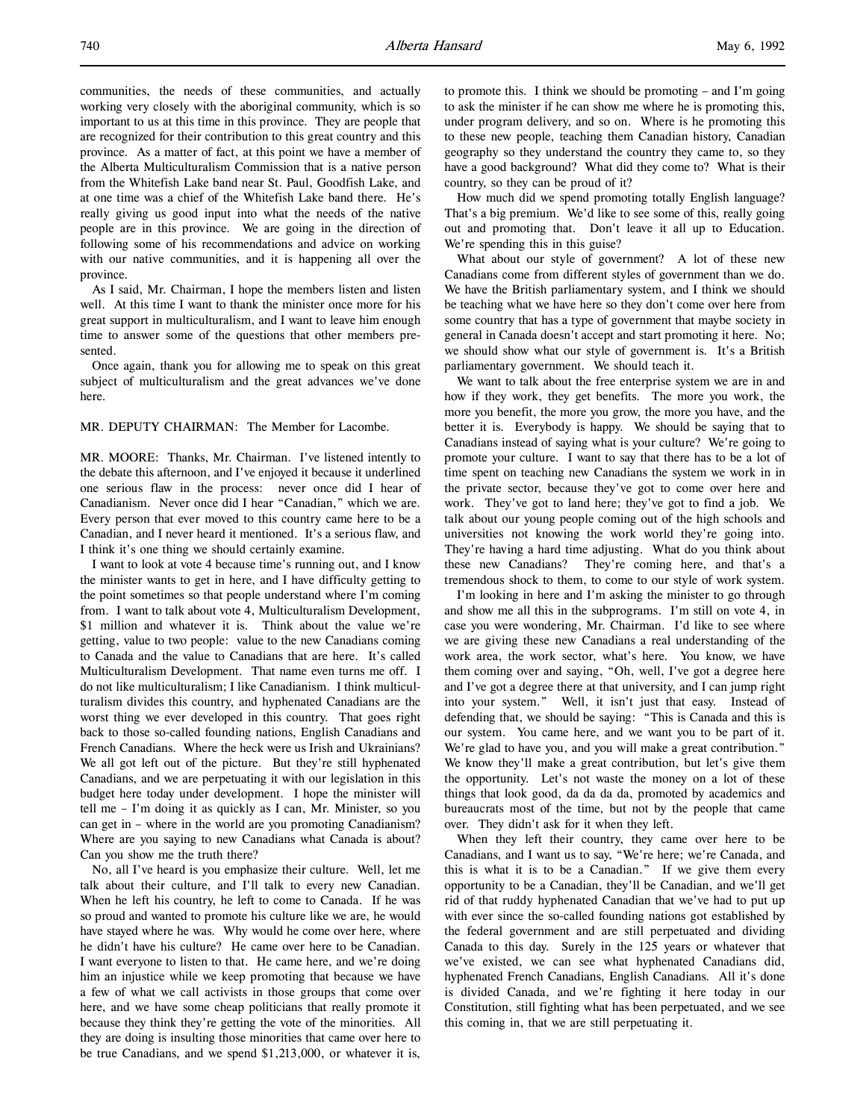communities, the needs of these communities, and actually working very closely with the aboriginal community, which is so important to us at this time in this province. They are people that are recognized for their contribution to this great country and this province. As a matter of fact, at this point we have a member of the Alberta Multiculturalism Commission that is a native person from the Whitefish Lake band near St. Paul, Goodfish Lake, and at one time was a chief of the Whitefish Lake band there. He's really giving us good input into what the needs of the native people are in this province. We are going in the direction of following some of his recommendations and advice on working with our native communities, and it is happening all over the province.

As I said, Mr. Chairman, I hope the members listen and listen well. At this time I want to thank the minister once more for his great support in multiculturalism, and I want to leave him enough time to answer some of the questions that other members presented.

Once again, thank you for allowing me to speak on this great subject of multiculturalism and the great advances we've done here.

MR. DEPUTY CHAIRMAN: The Member for Lacombe.

MR. MOORE: Thanks, Mr. Chairman. I've listened intently to the debate this afternoon, and I've enjoyed it because it underlined one serious flaw in the process: never once did I hear of Canadianism. Never once did I hear "Canadian," which we are. Every person that ever moved to this country came here to be a Canadian, and I never heard it mentioned. It's a serious flaw, and I think it's one thing we should certainly examine.

I want to look at vote 4 because time's running out, and I know the minister wants to get in here, and I have difficulty getting to the point sometimes so that people understand where I'm coming from. I want to talk about vote 4, Multiculturalism Development, \$1 million and whatever it is. Think about the value we're getting, value to two people: value to the new Canadians coming to Canada and the value to Canadians that are here. It's called Multiculturalism Development. That name even turns me off. I do not like multiculturalism; I like Canadianism. I think multiculturalism divides this country, and hyphenated Canadians are the worst thing we ever developed in this country. That goes right back to those so-called founding nations, English Canadians and French Canadians. Where the heck were us Irish and Ukrainians? We all got left out of the picture. But they're still hyphenated Canadians, and we are perpetuating it with our legislation in this budget here today under development. I hope the minister will tell me – I'm doing it as quickly as I can, Mr. Minister, so you can get in – where in the world are you promoting Canadianism? Where are you saying to new Canadians what Canada is about? Can you show me the truth there?

No, all I've heard is you emphasize their culture. Well, let me talk about their culture, and I'll talk to every new Canadian. When he left his country, he left to come to Canada. If he was so proud and wanted to promote his culture like we are, he would have stayed where he was. Why would he come over here, where he didn't have his culture? He came over here to be Canadian. I want everyone to listen to that. He came here, and we're doing him an injustice while we keep promoting that because we have a few of what we call activists in those groups that come over here, and we have some cheap politicians that really promote it because they think they're getting the vote of the minorities. All they are doing is insulting those minorities that came over here to be true Canadians, and we spend \$1,213,000, or whatever it is,

to promote this. I think we should be promoting – and I'm going to ask the minister if he can show me where he is promoting this, under program delivery, and so on. Where is he promoting this to these new people, teaching them Canadian history, Canadian geography so they understand the country they came to, so they have a good background? What did they come to? What is their country, so they can be proud of it?

How much did we spend promoting totally English language? That's a big premium. We'd like to see some of this, really going out and promoting that. Don't leave it all up to Education. We're spending this in this guise?

What about our style of government? A lot of these new Canadians come from different styles of government than we do. We have the British parliamentary system, and I think we should be teaching what we have here so they don't come over here from some country that has a type of government that maybe society in general in Canada doesn't accept and start promoting it here. No; we should show what our style of government is. It's a British parliamentary government. We should teach it.

We want to talk about the free enterprise system we are in and how if they work, they get benefits. The more you work, the more you benefit, the more you grow, the more you have, and the better it is. Everybody is happy. We should be saying that to Canadians instead of saying what is your culture? We're going to promote your culture. I want to say that there has to be a lot of time spent on teaching new Canadians the system we work in in the private sector, because they've got to come over here and work. They've got to land here; they've got to find a job. We talk about our young people coming out of the high schools and universities not knowing the work world they're going into. They're having a hard time adjusting. What do you think about these new Canadians? They're coming here, and that's a tremendous shock to them, to come to our style of work system.

I'm looking in here and I'm asking the minister to go through and show me all this in the subprograms. I'm still on vote 4, in case you were wondering, Mr. Chairman. I'd like to see where we are giving these new Canadians a real understanding of the work area, the work sector, what's here. You know, we have them coming over and saying, "Oh, well, I've got a degree here and I've got a degree there at that university, and I can jump right into your system." Well, it isn't just that easy. Instead of defending that, we should be saying: "This is Canada and this is our system. You came here, and we want you to be part of it. We're glad to have you, and you will make a great contribution." We know they'll make a great contribution, but let's give them the opportunity. Let's not waste the money on a lot of these things that look good, da da da da, promoted by academics and bureaucrats most of the time, but not by the people that came over. They didn't ask for it when they left.

When they left their country, they came over here to be Canadians, and I want us to say, "We're here; we're Canada, and this is what it is to be a Canadian." If we give them every opportunity to be a Canadian, they'll be Canadian, and we'll get rid of that ruddy hyphenated Canadian that we've had to put up with ever since the so-called founding nations got established by the federal government and are still perpetuated and dividing Canada to this day. Surely in the 125 years or whatever that we've existed, we can see what hyphenated Canadians did, hyphenated French Canadians, English Canadians. All it's done is divided Canada, and we're fighting it here today in our Constitution, still fighting what has been perpetuated, and we see this coming in, that we are still perpetuating it.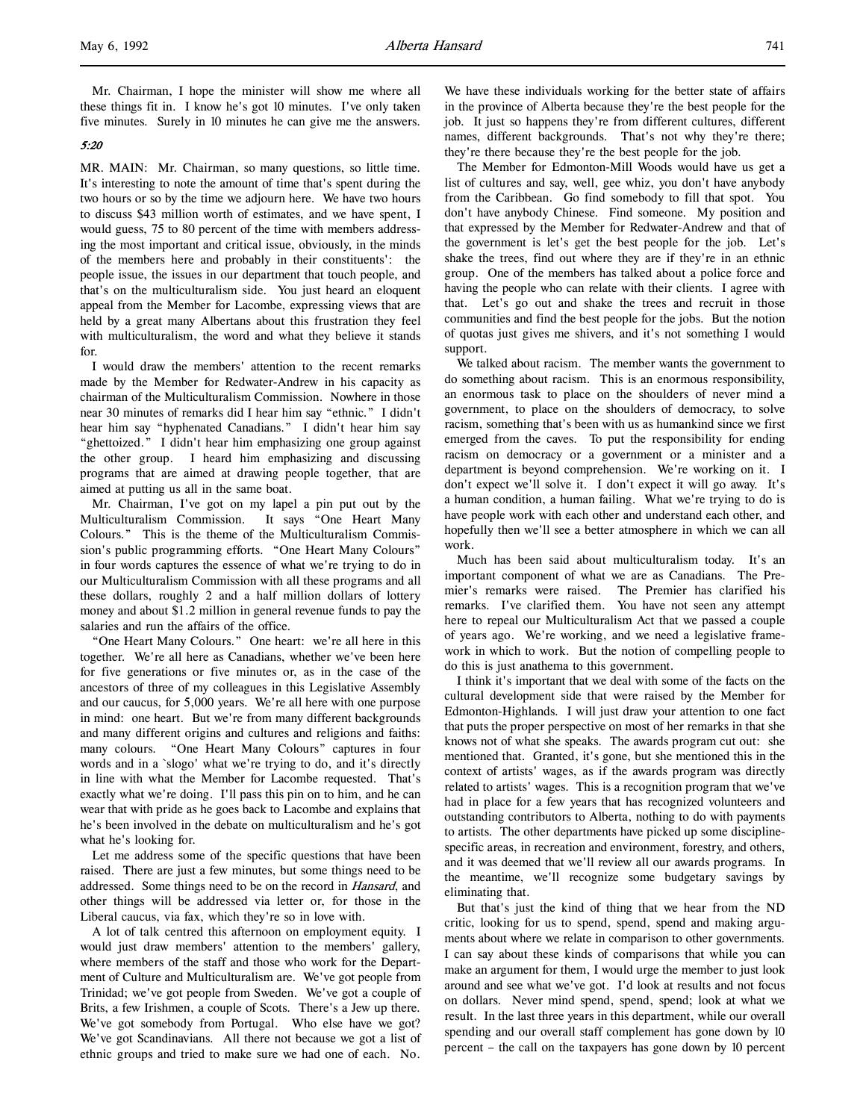Mr. Chairman, I hope the minister will show me where all these things fit in. I know he's got 10 minutes. I've only taken five minutes. Surely in 10 minutes he can give me the answers.

#### 5:20

l,

MR. MAIN: Mr. Chairman, so many questions, so little time. It's interesting to note the amount of time that's spent during the two hours or so by the time we adjourn here. We have two hours to discuss \$43 million worth of estimates, and we have spent, I would guess, 75 to 80 percent of the time with members addressing the most important and critical issue, obviously, in the minds of the members here and probably in their constituents': the people issue, the issues in our department that touch people, and that's on the multiculturalism side. You just heard an eloquent appeal from the Member for Lacombe, expressing views that are held by a great many Albertans about this frustration they feel with multiculturalism, the word and what they believe it stands for.

I would draw the members' attention to the recent remarks made by the Member for Redwater-Andrew in his capacity as chairman of the Multiculturalism Commission. Nowhere in those near 30 minutes of remarks did I hear him say "ethnic." I didn't hear him say "hyphenated Canadians." I didn't hear him say "ghettoized." I didn't hear him emphasizing one group against the other group. I heard him emphasizing and discussing programs that are aimed at drawing people together, that are aimed at putting us all in the same boat.

Mr. Chairman, I've got on my lapel a pin put out by the Multiculturalism Commission. It says "One Heart Many Colours." This is the theme of the Multiculturalism Commission's public programming efforts. "One Heart Many Colours" in four words captures the essence of what we're trying to do in our Multiculturalism Commission with all these programs and all these dollars, roughly 2 and a half million dollars of lottery money and about \$1.2 million in general revenue funds to pay the salaries and run the affairs of the office.

"One Heart Many Colours." One heart: we're all here in this together. We're all here as Canadians, whether we've been here for five generations or five minutes or, as in the case of the ancestors of three of my colleagues in this Legislative Assembly and our caucus, for 5,000 years. We're all here with one purpose in mind: one heart. But we're from many different backgrounds and many different origins and cultures and religions and faiths: many colours. "One Heart Many Colours" captures in four words and in a `slogo' what we're trying to do, and it's directly in line with what the Member for Lacombe requested. That's exactly what we're doing. I'll pass this pin on to him, and he can wear that with pride as he goes back to Lacombe and explains that he's been involved in the debate on multiculturalism and he's got what he's looking for.

Let me address some of the specific questions that have been raised. There are just a few minutes, but some things need to be addressed. Some things need to be on the record in Hansard, and other things will be addressed via letter or, for those in the Liberal caucus, via fax, which they're so in love with.

A lot of talk centred this afternoon on employment equity. I would just draw members' attention to the members' gallery, where members of the staff and those who work for the Department of Culture and Multiculturalism are. We've got people from Trinidad; we've got people from Sweden. We've got a couple of Brits, a few Irishmen, a couple of Scots. There's a Jew up there. We've got somebody from Portugal. Who else have we got? We've got Scandinavians. All there not because we got a list of ethnic groups and tried to make sure we had one of each. No.

We have these individuals working for the better state of affairs in the province of Alberta because they're the best people for the job. It just so happens they're from different cultures, different names, different backgrounds. That's not why they're there; they're there because they're the best people for the job.

The Member for Edmonton-Mill Woods would have us get a list of cultures and say, well, gee whiz, you don't have anybody from the Caribbean. Go find somebody to fill that spot. You don't have anybody Chinese. Find someone. My position and that expressed by the Member for Redwater-Andrew and that of the government is let's get the best people for the job. Let's shake the trees, find out where they are if they're in an ethnic group. One of the members has talked about a police force and having the people who can relate with their clients. I agree with that. Let's go out and shake the trees and recruit in those communities and find the best people for the jobs. But the notion of quotas just gives me shivers, and it's not something I would support.

We talked about racism. The member wants the government to do something about racism. This is an enormous responsibility, an enormous task to place on the shoulders of never mind a government, to place on the shoulders of democracy, to solve racism, something that's been with us as humankind since we first emerged from the caves. To put the responsibility for ending racism on democracy or a government or a minister and a department is beyond comprehension. We're working on it. I don't expect we'll solve it. I don't expect it will go away. It's a human condition, a human failing. What we're trying to do is have people work with each other and understand each other, and hopefully then we'll see a better atmosphere in which we can all work.

Much has been said about multiculturalism today. It's an important component of what we are as Canadians. The Premier's remarks were raised. The Premier has clarified his remarks. I've clarified them. You have not seen any attempt here to repeal our Multiculturalism Act that we passed a couple of years ago. We're working, and we need a legislative framework in which to work. But the notion of compelling people to do this is just anathema to this government.

I think it's important that we deal with some of the facts on the cultural development side that were raised by the Member for Edmonton-Highlands. I will just draw your attention to one fact that puts the proper perspective on most of her remarks in that she knows not of what she speaks. The awards program cut out: she mentioned that. Granted, it's gone, but she mentioned this in the context of artists' wages, as if the awards program was directly related to artists' wages. This is a recognition program that we've had in place for a few years that has recognized volunteers and outstanding contributors to Alberta, nothing to do with payments to artists. The other departments have picked up some disciplinespecific areas, in recreation and environment, forestry, and others, and it was deemed that we'll review all our awards programs. In the meantime, we'll recognize some budgetary savings by eliminating that.

But that's just the kind of thing that we hear from the ND critic, looking for us to spend, spend, spend and making arguments about where we relate in comparison to other governments. I can say about these kinds of comparisons that while you can make an argument for them, I would urge the member to just look around and see what we've got. I'd look at results and not focus on dollars. Never mind spend, spend, spend; look at what we result. In the last three years in this department, while our overall spending and our overall staff complement has gone down by 10 percent – the call on the taxpayers has gone down by 10 percent